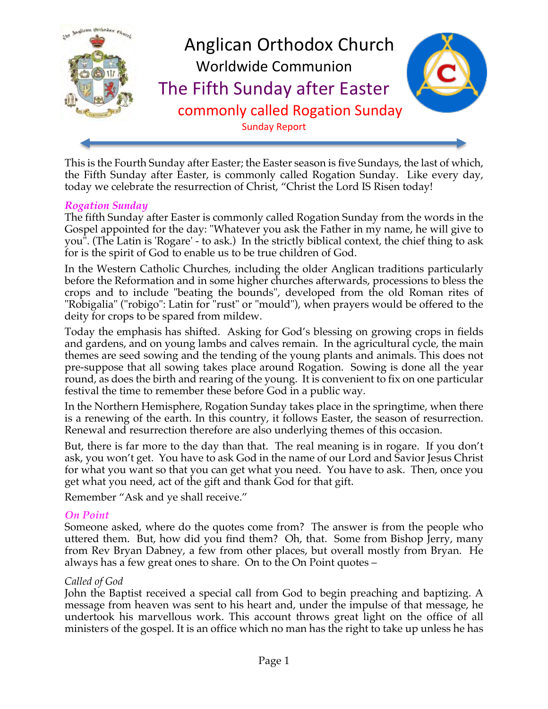

This is the Fourth Sunday after Easter; the Easter season is five Sundays, the last of which, the Fifth Sunday after Easter, is commonly called Rogation Sunday. Like every day, today we celebrate the resurrection of Christ, "Christ the Lord IS Risen today!

#### *Rogation Sunday*

The fifth Sunday after Easter is commonly called Rogation Sunday from the words in the Gospel appointed for the day: "Whatever you ask the Father in my name, he will give to you". (The Latin is 'Rogare' - to ask.) In the strictly biblical context, the chief thing to ask for is the spirit of God to enable us to be true children of God.

In the Western Catholic Churches, including the older Anglican traditions particularly before the Reformation and in some higher churches afterwards, processions to bless the crops and to include "beating the bounds", developed from the old Roman rites of "Robigalia" ("robigo": Latin for "rust" or "mould"), when prayers would be offered to the deity for crops to be spared from mildew.

Today the emphasis has shifted. Asking for God's blessing on growing crops in fields and gardens, and on young lambs and calves remain. In the agricultural cycle, the main themes are seed sowing and the tending of the young plants and animals. This does not pre-suppose that all sowing takes place around Rogation. Sowing is done all the year round, as does the birth and rearing of the young. It is convenient to fix on one particular festival the time to remember these before God in a public way.

In the Northern Hemisphere, Rogation Sunday takes place in the springtime, when there is a renewing of the earth. In this country, it follows Easter, the season of resurrection. Renewal and resurrection therefore are also underlying themes of this occasion.

But, there is far more to the day than that. The real meaning is in rogare. If you don't ask, you won't get. You have to ask God in the name of our Lord and Savior Jesus Christ for what you want so that you can get what you need. You have to ask. Then, once you get what you need, act of the gift and thank God for that gift.

Remember "Ask and ye shall receive."

## *On Point*

Someone asked, where do the quotes come from? The answer is from the people who uttered them. But, how did you find them? Oh, that. Some from Bishop Jerry, many from Rev Bryan Dabney, a few from other places, but overall mostly from Bryan. He always has a few great ones to share. On to the On Point quotes –

#### *Called of God*

John the Baptist received a special call from God to begin preaching and baptizing. A message from heaven was sent to his heart and, under the impulse of that message, he undertook his marvellous work. This account throws great light on the office of all ministers of the gospel. It is an office which no man has the right to take up unless he has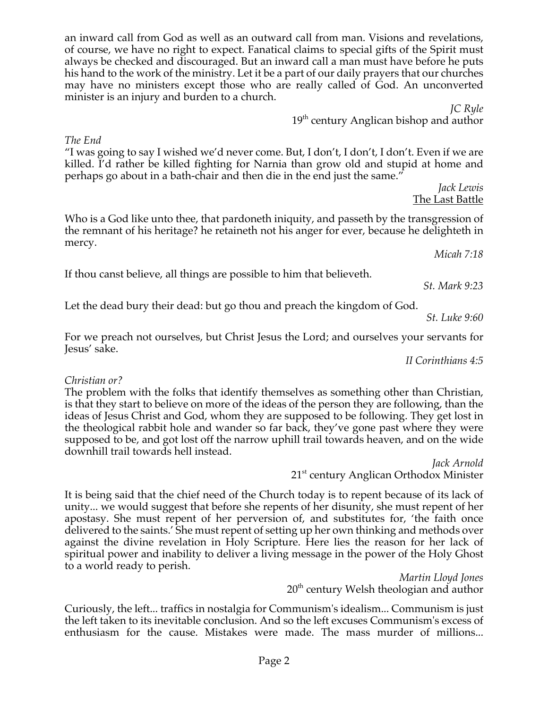Page 2

an inward call from God as well as an outward call from man. Visions and revelations, of course, we have no right to expect. Fanatical claims to special gifts of the Spirit must always be checked and discouraged. But an inward call a man must have before he puts his hand to the work of the ministry. Let it be a part of our daily prayers that our churches may have no ministers except those who are really called of God. An unconverted minister is an injury and burden to a church.

> *JC Ryle*  $19<sup>th</sup>$  century Anglican bishop and author

*The End*

"I was going to say I wished we'd never come. But, I don't, I don't, I don't. Even if we are killed. I'd rather be killed fighting for Narnia than grow old and stupid at home and perhaps go about in a bath-chair and then die in the end just the same."

> *Jack Lewis* The Last Battle

Who is a God like unto thee, that pardoneth iniquity, and passeth by the transgression of the remnant of his heritage? he retaineth not his anger for ever, because he delighteth in mercy. *Micah 7:18*

If thou canst believe, all things are possible to him that believeth.

Let the dead bury their dead: but go thou and preach the kingdom of God.

*St. Luke 9:60*

For we preach not ourselves, but Christ Jesus the Lord; and ourselves your servants for Jesus' sake.

*II Corinthians 4:5*

# *Christian or?*

The problem with the folks that identify themselves as something other than Christian, is that they start to believe on more of the ideas of the person they are following, than the ideas of Jesus Christ and God, whom they are supposed to be following. They get lost in the theological rabbit hole and wander so far back, they've gone past where they were supposed to be, and got lost off the narrow uphill trail towards heaven, and on the wide downhill trail towards hell instead.

*Jack Arnold* 21<sup>st</sup> century Anglican Orthodox Minister

It is being said that the chief need of the Church today is to repent because of its lack of unity... we would suggest that before she repents of her disunity, she must repent of her apostasy. She must repent of her perversion of, and substitutes for, 'the faith once delivered to the saints.' She must repent of setting up her own thinking and methods over against the divine revelation in Holy Scripture. Here lies the reason for her lack of spiritual power and inability to deliver a living message in the power of the Holy Ghost to a world ready to perish.

*Martin Lloyd Jones* 20<sup>th</sup> century Welsh theologian and author

Curiously, the left... traffics in nostalgia for Communism's idealism... Communism is just the left taken to its inevitable conclusion. And so the left excuses Communism's excess of enthusiasm for the cause. Mistakes were made. The mass murder of millions...

*St. Mark 9:23*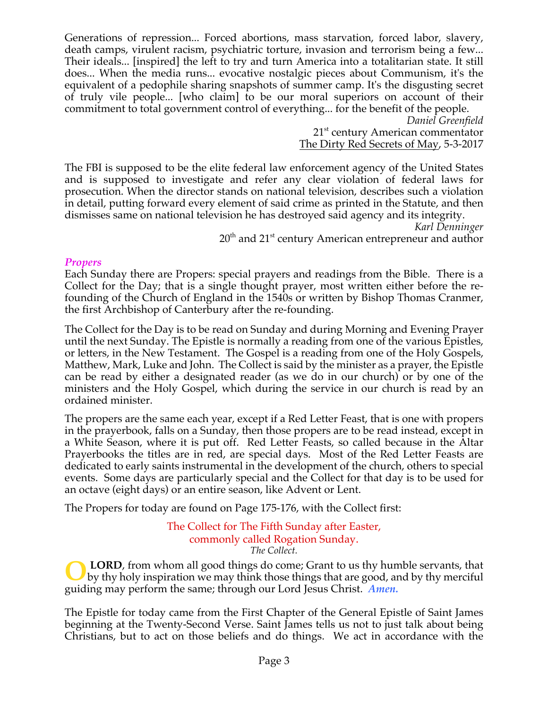Generations of repression... Forced abortions, mass starvation, forced labor, slavery, death camps, virulent racism, psychiatric torture, invasion and terrorism being a few... Their ideals... [inspired] the left to try and turn America into a totalitarian state. It still does... When the media runs... evocative nostalgic pieces about Communism, it's the equivalent of a pedophile sharing snapshots of summer camp. It's the disgusting secret of truly vile people... [who claim] to be our moral superiors on account of their commitment to total government control of everything... for the benefit of the people.

*Daniel Greenfield* 21<sup>st</sup> century American commentator The Dirty Red Secrets of May, 5-3-2017

The FBI is supposed to be the elite federal law enforcement agency of the United States and is supposed to investigate and refer any clear violation of federal laws for prosecution. When the director stands on national television, describes such a violation in detail, putting forward every element of said crime as printed in the Statute, and then dismisses same on national television he has destroyed said agency and its integrity.

*Karl Denninger*  $20<sup>th</sup>$  and  $21<sup>st</sup>$  century American entrepreneur and author

#### *Propers*

Each Sunday there are Propers: special prayers and readings from the Bible. There is a Collect for the Day; that is a single thought prayer, most written either before the refounding of the Church of England in the 1540s or written by Bishop Thomas Cranmer, the first Archbishop of Canterbury after the re-founding.

The Collect for the Day is to be read on Sunday and during Morning and Evening Prayer until the next Sunday. The Epistle is normally a reading from one of the various Epistles, or letters, in the New Testament. The Gospel is a reading from one of the Holy Gospels, Matthew, Mark, Luke and John. The Collect is said by the minister as a prayer, the Epistle can be read by either a designated reader (as we do in our church) or by one of the ministers and the Holy Gospel, which during the service in our church is read by an ordained minister.

The propers are the same each year, except if a Red Letter Feast, that is one with propers in the prayerbook, falls on a Sunday, then those propers are to be read instead, except in a White Season, where it is put off. Red Letter Feasts, so called because in the Altar Prayerbooks the titles are in red, are special days. Most of the Red Letter Feasts are dedicated to early saints instrumental in the development of the church, others to special events. Some days are particularly special and the Collect for that day is to be used for an octave (eight days) or an entire season, like Advent or Lent.

The Propers for today are found on Page 175-176, with the Collect first:

The Collect for The Fifth Sunday after Easter, commonly called Rogation Sunday. *The Collect.*

**LORD**, from whom all good things do come; Grant to us thy humble servants, that by thy holy inspiration we may think those things that are good, and by thy merciful guiding may perform the same; through our Lord Jesus Christ. *Amen.* **O**

The Epistle for today came from the First Chapter of the General Epistle of Saint James beginning at the Twenty-Second Verse. Saint James tells us not to just talk about being Christians, but to act on those beliefs and do things. We act in accordance with the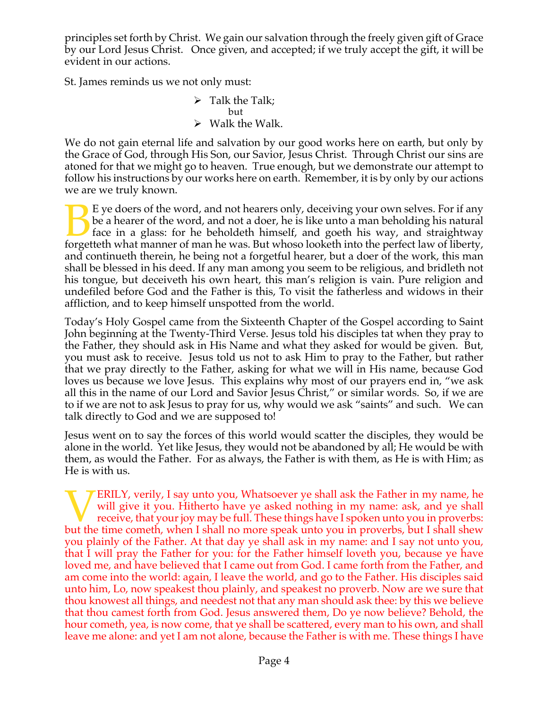principles set forth by Christ. We gain our salvation through the freely given gift of Grace by our Lord Jesus Christ. Once given, and accepted; if we truly accept the gift, it will be evident in our actions.

St. James reminds us we not only must:

 $\triangleright$  Talk the Talk; but  $\triangleright$  Walk the Walk.

We do not gain eternal life and salvation by our good works here on earth, but only by the Grace of God, through His Son, our Savior, Jesus Christ. Through Christ our sins are atoned for that we might go to heaven. True enough, but we demonstrate our attempt to follow his instructions by our works here on earth. Remember, it is by only by our actions we are we truly known.

E ye doers of the word, and not hearers only, deceiving your own selves. For if any be a hearer of the word, and not a doer, he is like unto a man beholding his natural face in a glass: for he beholdeth himself, and goeth his way, and straightway E ye doers of the word, and not hearers only, deceiving your own selves. For if any be a hearer of the word, and not a doer, he is like unto a man beholding his natural face in a glass: for he beholdeth himself, and goeth and continueth therein, he being not a forgetful hearer, but a doer of the work, this man shall be blessed in his deed. If any man among you seem to be religious, and bridleth not his tongue, but deceiveth his own heart, this man's religion is vain. Pure religion and undefiled before God and the Father is this, To visit the fatherless and widows in their affliction, and to keep himself unspotted from the world.

Today's Holy Gospel came from the Sixteenth Chapter of the Gospel according to Saint John beginning at the Twenty-Third Verse. Jesus told his disciples tat when they pray to the Father, they should ask in His Name and what they asked for would be given. But, you must ask to receive. Jesus told us not to ask Him to pray to the Father, but rather that we pray directly to the Father, asking for what we will in His name, because God loves us because we love Jesus. This explains why most of our prayers end in, "we ask all this in the name of our Lord and Savior Jesus Christ," or similar words. So, if we are to if we are not to ask Jesus to pray for us, why would we ask "saints" and such. We can talk directly to God and we are supposed to!

Jesus went on to say the forces of this world would scatter the disciples, they would be alone in the world. Yet like Jesus, they would not be abandoned by all; He would be with them, as would the Father. For as always, the Father is with them, as He is with Him; as He is with us.

ERILY, verily, I say unto you, Whatsoever ye shall ask the Father in my name, he will give it you. Hitherto have ye asked nothing in my name: ask, and ye shall receive, that your joy may be full. These things have I spoken unto you in proverbs: **but the time cometh,** when I shall no more speak unto you in proverbs, but I shall shew the time cometh, when I shall no more speak unto you in proverbs, but I shall shew you plainly of the Father. At that day ye shall ask in my name: and I say not unto you, that I will pray the Father for you: for the Father himself loveth you, because ye have loved me, and have believed that I came out from God. I came forth from the Father, and am come into the world: again, I leave the world, and go to the Father. His disciples said unto him, Lo, now speakest thou plainly, and speakest no proverb. Now are we sure that thou knowest all things, and needest not that any man should ask thee: by this we believe that thou camest forth from God. Jesus answered them, Do ye now believe? Behold, the hour cometh, yea, is now come, that ye shall be scattered, every man to his own, and shall leave me alone: and yet I am not alone, because the Father is with me. These things I have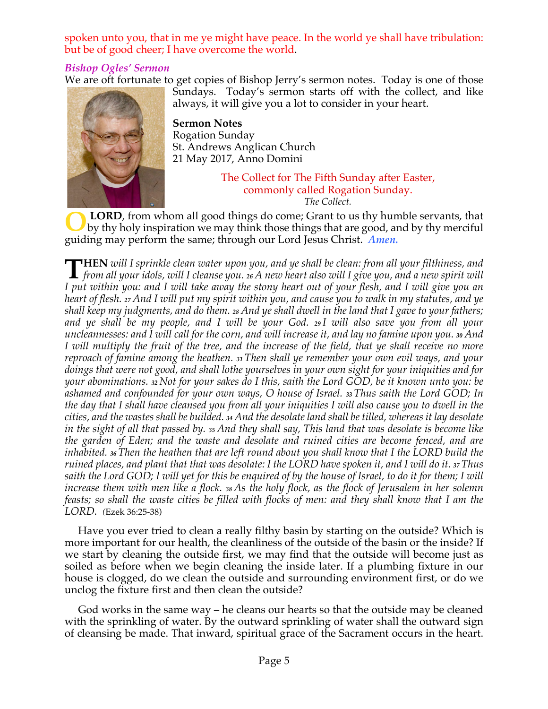spoken unto you, that in me ye might have peace. In the world ye shall have tribulation: but be of good cheer; I have overcome the world.

# *Bishop Ogles' Sermon*

We are oft fortunate to get copies of Bishop Jerry's sermon notes. Today is one of those



Sundays. Today's sermon starts off with the collect, and like always, it will give you a lot to consider in your heart.

**Sermon Notes** Rogation Sunday St. Andrews Anglican Church 21 May 2017, Anno Domini

> The Collect for The Fifth Sunday after Easter, commonly called Rogation Sunday. *The Collect.*

**LORD**, from whom all good things do come; Grant to us thy humble servants, that by thy holy inspiration we may think those things that are good, and by thy merciful guiding may perform the same; through our Lord Jesus Christ. *Amen.* **O**

**HEN** *will I sprinkle clean water upon you, and ye shall be clean: from all your filthiness, and* THEN will I sprinkle clean water upon you, and ye shall be clean: from all your filthiness, and<br>from all your idols, will I cleanse you. 26 A new heart also will I give you, and a new spirit will I put within you: and I will take away the stony heart out of your flesh, and I will give you an heart of flesh. 27 And I will put my spirit within you, and cause you to walk in my statutes, and ye shall keep my judgments, and do them. 28 And ye shall dwell in the land that I gave to your fathers; and ye shall be my people, and I will be your God. 29 I will also save you from all your uncleannesses: and I will call for the corn, and will increase it, and lay no famine upon you. 30 And I will multiply the fruit of the tree, and the increase of the field, that ye shall receive no more *reproach of famine among the heathen. <sup>31</sup> Then shall ye remember your own evil ways, and your* doings that were not good, and shall lothe yourselves in your own sight for your iniquities and for your abominations. 32 Not for your sakes do I this, saith the Lord GOD, be it known unto you: be *ashamed and confounded for your own ways, O house of Israel. <sup>33</sup> Thus saith the Lord GOD; In* the day that I shall have cleansed you from all your iniquities I will also cause you to dwell in the cities, and the wastes shall be builded. 34 And the desolate land shall be tilled, whereas it lay desolate in the sight of all that passed by. 35 And they shall say, This land that was desolate is become like *the garden of Eden; and the waste and desolate and ruined cities are become fenced, and are* inhabited. 36 Then the heathen that are left round about you shall know that I the LORD build the ruined places, and plant that that was desolate: I the LORD have spoken it, and I will do it. 37 Thus saith the Lord GOD; I will yet for this be enquired of by the house of Israel, to do it for them; I will increase them with men like a flock. 38 As the holy flock, as the flock of Jerusalem in her solemn feasts; so shall the waste cities be filled with flocks of men: and they shall know that I am the *LORD. (*Ezek 36:25-38)

Have you ever tried to clean a really filthy basin by starting on the outside? Which is more important for our health, the cleanliness of the outside of the basin or the inside? If we start by cleaning the outside first, we may find that the outside will become just as soiled as before when we begin cleaning the inside later. If a plumbing fixture in our house is clogged, do we clean the outside and surrounding environment first, or do we unclog the fixture first and then clean the outside?

God works in the same way – he cleans our hearts so that the outside may be cleaned with the sprinkling of water. By the outward sprinkling of water shall the outward sign of cleansing be made. That inward, spiritual grace of the Sacrament occurs in the heart.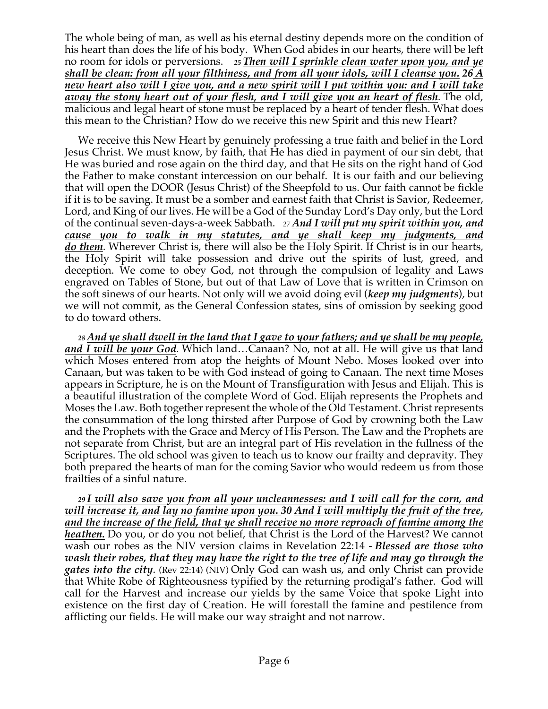The whole being of man, as well as his eternal destiny depends more on the condition of his heart than does the life of his body. When God abides in our hearts, there will be left no room for idols or perversions. *<sup>25</sup> Then will I sprinkle clean water upon you, and ye shall be clean: from all your filthiness, and from all your idols, will I cleanse you. 26 A new heart also will I give you, and a new spirit will I put within you: and I will take away the stony heart out of your flesh, and I will give you an heart of flesh.* The old, malicious and legal heart of stone must be replaced by a heart of tender flesh. What does this mean to the Christian? How do we receive this new Spirit and this new Heart?

We receive this New Heart by genuinely professing a true faith and belief in the Lord Jesus Christ. We must know, by faith, that He has died in payment of our sin debt, that He was buried and rose again on the third day, and that He sits on the right hand of God the Father to make constant intercession on our behalf. It is our faith and our believing that will open the DOOR (Jesus Christ) of the Sheepfold to us. Our faith cannot be fickle if it is to be saving. It must be a somber and earnest faith that Christ is Savior, Redeemer, Lord, and King of our lives. He will be a God of the Sunday Lord's Day only, but the Lord of the continual seven-days-a-week Sabbath. *<sup>27</sup> And I will put my spirit within you, and cause you to walk in my statutes, and ye shall keep my judgments, and do them.* Wherever Christ is, there will also be the Holy Spirit. If Christ is in our hearts, the Holy Spirit will take possession and drive out the spirits of lust, greed, and deception. We come to obey God, not through the compulsion of legality and Laws engraved on Tables of Stone, but out of that Law of Love that is written in Crimson on the soft sinews of our hearts. Not only will we avoid doing evil (*keep my judgments*), but we will not commit, as the General Confession states, sins of omission by seeking good to do toward others.

*<sup>28</sup> And ye shall dwell in the land that I gave to your fathers; and ye shall be my people, and I will be your God.* Which land…Canaan? No, not at all. He will give us that land which Moses entered from atop the heights of Mount Nebo. Moses looked over into Canaan, but was taken to be with God instead of going to Canaan. The next time Moses appears in Scripture, he is on the Mount of Transfiguration with Jesus and Elijah. This is a beautiful illustration of the complete Word of God. Elijah represents the Prophets and Moses the Law. Both together represent the whole of the Old Testament. Christ represents the consummation of the long thirsted after Purpose of God by crowning both the Law and the Prophets with the Grace and Mercy of His Person. The Law and the Prophets are not separate from Christ, but are an integral part of His revelation in the fullness of the Scriptures. The old school was given to teach us to know our frailty and depravity. They both prepared the hearts of man for the coming Savior who would redeem us from those frailties of a sinful nature.

*<sup>29</sup> I will also save you from all your uncleannesses: and I will call for the corn, and will increase it, and lay no famine upon you. 30 And I will multiply the fruit of the tree, and the increase of the field, that ye shall receive no more reproach of famine among the heathen.* Do you, or do you not belief, that Christ is the Lord of the Harvest? We cannot wash our robes as the NIV version claims in Revelation 22:14 - *Blessed are those who wash their robes, that they may have the right to the tree of life and may go through the gates into the city*. (Rev 22:14) (NIV) Only God can wash us, and only Christ can provide that White Robe of Righteousness typified by the returning prodigal's father. God will call for the Harvest and increase our yields by the same Voice that spoke Light into existence on the first day of Creation. He will forestall the famine and pestilence from afflicting our fields. He will make our way straight and not narrow.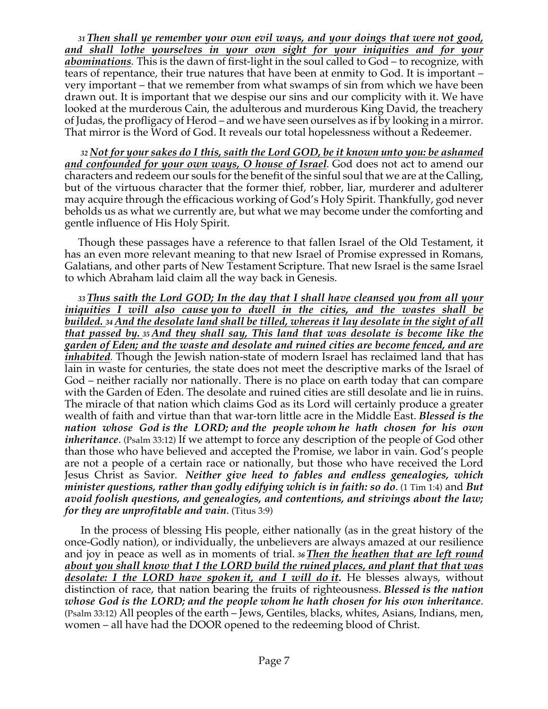*<sup>31</sup> Then shall ye remember your own evil ways, and your doings that were not good, and shall lothe yourselves in your own sight for your iniquities and for your abominations.* This is the dawn of first-light in the soul called to God – to recognize, with tears of repentance, their true natures that have been at enmity to God. It is important – very important – that we remember from what swamps of sin from which we have been drawn out. It is important that we despise our sins and our complicity with it. We have looked at the murderous Cain, the adulterous and murderous King David, the treachery of Judas, the profligacy of Herod – and we have seen ourselves as if by looking in a mirror. That mirror is the Word of God. It reveals our total hopelessness without a Redeemer.

*<sup>32</sup> Not for your sakes do I this, saith the Lord GOD, be it known unto you: be ashamed and confounded for your own ways, O house of Israel.* God does not act to amend our characters and redeem our souls for the benefit of the sinful soul that we are at the Calling, but of the virtuous character that the former thief, robber, liar, murderer and adulterer may acquire through the efficacious working of God's Holy Spirit. Thankfully, god never beholds us as what we currently are, but what we may become under the comforting and gentle influence of His Holy Spirit.

Though these passages have a reference to that fallen Israel of the Old Testament, it has an even more relevant meaning to that new Israel of Promise expressed in Romans, Galatians, and other parts of New Testament Scripture. That new Israel is the same Israel to which Abraham laid claim all the way back in Genesis.

*<sup>33</sup> Thus saith the Lord GOD; In the day that I shall have cleansed you from all your iniquities I will also cause you to dwell in the cities, and the wastes shall be builded. <sup>34</sup> And the desolate land shall be tilled, whereas it lay desolate in the sight of all that passed by. <sup>35</sup> And they shall say, This land that was desolate is become like the garden of Eden; and the waste and desolate and ruined cities are become fenced, and are inhabited.* Though the Jewish nation-state of modern Israel has reclaimed land that has lain in waste for centuries, the state does not meet the descriptive marks of the Israel of God – neither racially nor nationally. There is no place on earth today that can compare with the Garden of Eden. The desolate and ruined cities are still desolate and lie in ruins. The miracle of that nation which claims God as its Lord will certainly produce a greater wealth of faith and virtue than that war-torn little acre in the Middle East. *Blessed is the nation whose God is the LORD; and the people whom he hath chosen for his own inheritance*. (Psalm 33:12) If we attempt to force any description of the people of God other than those who have believed and accepted the Promise, we labor in vain. God's people are not a people of a certain race or nationally, but those who have received the Lord Jesus Christ as Savior. *Neither give heed to fables and endless genealogies, which minister questions, rather than godly edifying which is in faith: so do*. (1 Tim 1:4) and *But avoid foolish questions, and genealogies, and contentions, and strivings about the law; for they are unprofitable and vain*. (Titus 3:9)

In the process of blessing His people, either nationally (as in the great history of the once-Godly nation), or individually, the unbelievers are always amazed at our resilience and joy in peace as well as in moments of trial. *<sup>36</sup> Then the heathen that are left round about you shall know that I the LORD build the ruined places, and plant that that was desolate: I the LORD have spoken it, and I will do it.* He blesses always, without distinction of race, that nation bearing the fruits of righteousness. *Blessed is the nation whose God is the LORD; and the people whom he hath chosen for his own inheritance*. (Psalm 33:12) All peoples of the earth – Jews, Gentiles, blacks, whites, Asians, Indians, men, women – all have had the DOOR opened to the redeeming blood of Christ.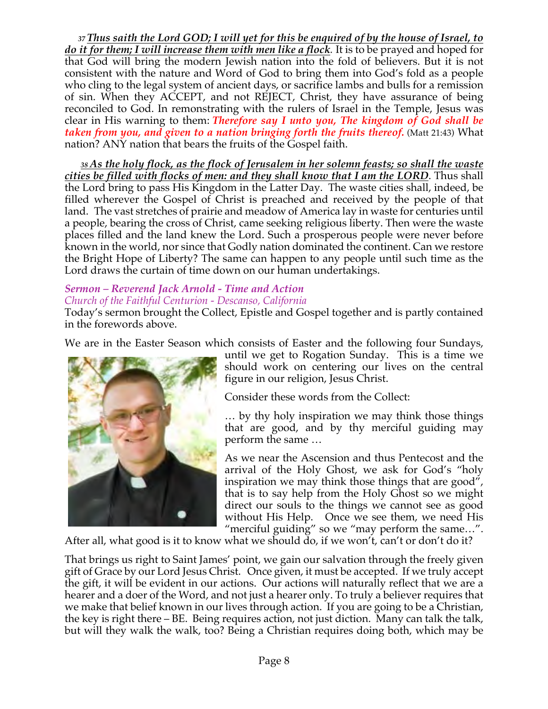*<sup>37</sup> Thus saith the Lord GOD; I will yet for this be enquired of by the house of Israel, to do it for them; I will increase them with men like a flock.* It is to be prayed and hoped for that God will bring the modern Jewish nation into the fold of believers. But it is not consistent with the nature and Word of God to bring them into God's fold as a people who cling to the legal system of ancient days, or sacrifice lambs and bulls for a remission of sin. When they ACCEPT, and not REJECT, Christ, they have assurance of being reconciled to God. In remonstrating with the rulers of Israel in the Temple, Jesus was clear in His warning to them: *Therefore say I unto you, The kingdom of God shall be taken from you, and given to a nation bringing forth the fruits thereof.* (Matt 21:43) What nation? ANY nation that bears the fruits of the Gospel faith.

*<sup>38</sup> As the holy flock, as the flock of Jerusalem in her solemn feasts; so shall the waste cities be filled with flocks of men: and they shall know that I am the LORD*. Thus shall the Lord bring to pass His Kingdom in the Latter Day. The waste cities shall, indeed, be filled wherever the Gospel of Christ is preached and received by the people of that land. The vast stretches of prairie and meadow of America lay in waste for centuries until a people, bearing the cross of Christ, came seeking religious liberty. Then were the waste places filled and the land knew the Lord. Such a prosperous people were never before known in the world, nor since that Godly nation dominated the continent. Can we restore the Bright Hope of Liberty? The same can happen to any people until such time as the Lord draws the curtain of time down on our human undertakings.

# *Sermon – Reverend Jack Arnold - Time and Action*

## *Church of the Faithful Centurion - Descanso, California*

Today's sermon brought the Collect, Epistle and Gospel together and is partly contained in the forewords above.

We are in the Easter Season which consists of Easter and the following four Sundays,



until we get to Rogation Sunday. This is a time we should work on centering our lives on the central figure in our religion, Jesus Christ.

Consider these words from the Collect:

… by thy holy inspiration we may think those things that are good, and by thy merciful guiding may perform the same …

As we near the Ascension and thus Pentecost and the arrival of the Holy Ghost, we ask for God's "holy inspiration we may think those things that are good", that is to say help from the Holy Ghost so we might direct our souls to the things we cannot see as good without His Help. Once we see them, we need His "merciful guiding" so we "may perform the same…".

After all, what good is it to know what we should do, if we won't, can't or don't do it?

That brings us right to Saint James' point, we gain our salvation through the freely given gift of Grace by our Lord Jesus Christ. Once given, it must be accepted. If we truly accept the gift, it will be evident in our actions. Our actions will naturally reflect that we are a hearer and a doer of the Word, and not just a hearer only. To truly a believer requires that we make that belief known in our lives through action. If you are going to be a Christian, the key is right there – BE. Being requires action, not just diction. Many can talk the talk, but will they walk the walk, too? Being a Christian requires doing both, which may be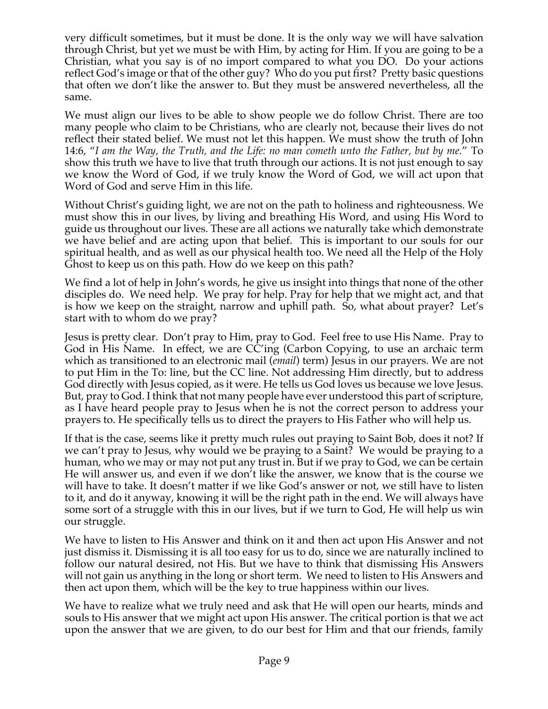very difficult sometimes, but it must be done. It is the only way we will have salvation through Christ, but yet we must be with Him, by acting for Him. If you are going to be a Christian, what you say is of no import compared to what you DO. Do your actions reflect God's image or that of the other guy? Who do you put first? Pretty basic questions that often we don't like the answer to. But they must be answered nevertheless, all the same.

We must align our lives to be able to show people we do follow Christ. There are too many people who claim to be Christians, who are clearly not, because their lives do not reflect their stated belief. We must not let this happen. We must show the truth of John 14:6, "*I am the Way, the Truth, and the Life: no man cometh unto the Father, but by me.*" To show this truth we have to live that truth through our actions. It is not just enough to say we know the Word of God, if we truly know the Word of God, we will act upon that Word of God and serve Him in this life.

Without Christ's guiding light, we are not on the path to holiness and righteousness. We must show this in our lives, by living and breathing His Word, and using His Word to guide us throughout our lives. These are all actions we naturally take which demonstrate we have belief and are acting upon that belief. This is important to our souls for our spiritual health, and as well as our physical health too. We need all the Help of the Holy Ghost to keep us on this path. How do we keep on this path?

We find a lot of help in John's words, he give us insight into things that none of the other disciples do. We need help. We pray for help. Pray for help that we might act, and that is how we keep on the straight, narrow and uphill path. So, what about prayer? Let's start with to whom do we pray?

Jesus is pretty clear. Don't pray to Him, pray to God. Feel free to use His Name. Pray to God in His Name. In effect, we are CC'ing (Carbon Copying, to use an archaic term which as transitioned to an electronic mail (*email*) term) Jesus in our prayers. We are not to put Him in the To: line, but the CC line. Not addressing Him directly, but to address God directly with Jesus copied, as it were. He tells us God loves us because we love Jesus. But, pray to God. I think that not many people have ever understood this part of scripture, as I have heard people pray to Jesus when he is not the correct person to address your prayers to. He specifically tells us to direct the prayers to His Father who will help us.

If that is the case, seems like it pretty much rules out praying to Saint Bob, does it not? If we can't pray to Jesus, why would we be praying to a Saint? We would be praying to a human, who we may or may not put any trust in. But if we pray to God, we can be certain He will answer us, and even if we don't like the answer, we know that is the course we will have to take. It doesn't matter if we like God's answer or not, we still have to listen to it, and do it anyway, knowing it will be the right path in the end. We will always have some sort of a struggle with this in our lives, but if we turn to God, He will help us win our struggle.

We have to listen to His Answer and think on it and then act upon His Answer and not just dismiss it. Dismissing it is all too easy for us to do, since we are naturally inclined to follow our natural desired, not His. But we have to think that dismissing His Answers will not gain us anything in the long or short term. We need to listen to His Answers and then act upon them, which will be the key to true happiness within our lives.

We have to realize what we truly need and ask that He will open our hearts, minds and souls to His answer that we might act upon His answer. The critical portion is that we act upon the answer that we are given, to do our best for Him and that our friends, family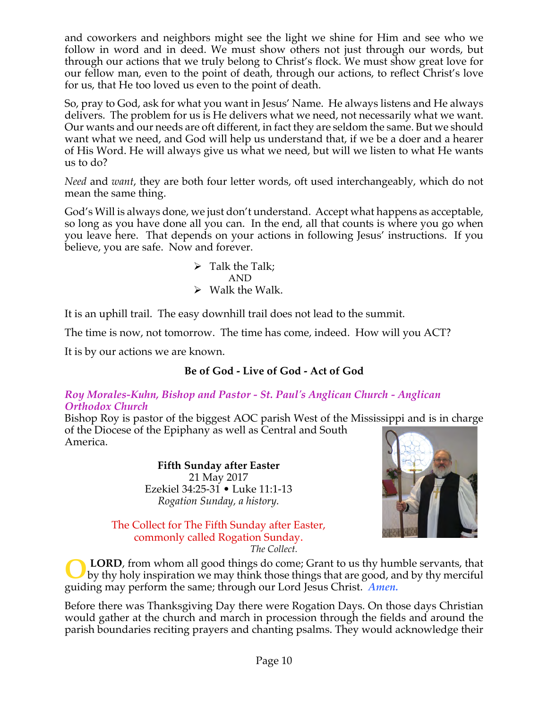and coworkers and neighbors might see the light we shine for Him and see who we follow in word and in deed. We must show others not just through our words, but through our actions that we truly belong to Christ's flock. We must show great love for our fellow man, even to the point of death, through our actions, to reflect Christ's love for us, that He too loved us even to the point of death.

So, pray to God, ask for what you want in Jesus' Name. He always listens and He always delivers. The problem for us is He delivers what we need, not necessarily what we want. Our wants and our needs are oft different, in fact they are seldom the same. But we should want what we need, and God will help us understand that, if we be a doer and a hearer of His Word. He will always give us what we need, but will we listen to what He wants us to do?

*Need* and *want*, they are both four letter words, oft used interchangeably, which do not mean the same thing.

God's Will is always done, we just don't understand. Accept what happens as acceptable, so long as you have done all you can. In the end, all that counts is where you go when you leave here. That depends on your actions in following Jesus' instructions. If you believe, you are safe. Now and forever.

> $\triangleright$  Talk the Talk; AND  $\triangleright$  Walk the Walk.

It is an uphill trail. The easy downhill trail does not lead to the summit.

The time is now, not tomorrow. The time has come, indeed. How will you ACT?

It is by our actions we are known.

# **Be of God - Live of God - Act of God**

#### *Roy Morales-Kuhn, Bishop and Pastor - St. Paul's Anglican Church - Anglican Orthodox Church*

Bishop Roy is pastor of the biggest AOC parish West of the Mississippi and is in charge of the Diocese of the Epiphany as well as Central and South America.

> **Fifth Sunday after Easter** 21 May 2017 Ezekiel 34:25-31 • Luke 11:1-13 *Rogation Sunday, a history.*

The Collect for The Fifth Sunday after Easter, commonly called Rogation Sunday. *The Collect.*



**LORD**, from whom all good things do come; Grant to us thy humble servants, that by thy holy inspiration we may think those things that are good, and by thy merciful guiding may perform the same; through our Lord Jesus Christ. *Amen.* **O**

Before there was Thanksgiving Day there were Rogation Days. On those days Christian would gather at the church and march in procession through the fields and around the parish boundaries reciting prayers and chanting psalms. They would acknowledge their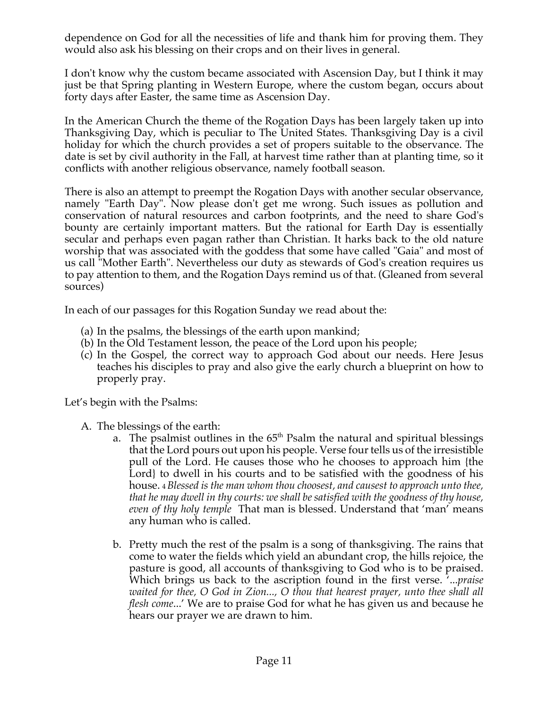dependence on God for all the necessities of life and thank him for proving them. They would also ask his blessing on their crops and on their lives in general.

I don't know why the custom became associated with Ascension Day, but I think it may just be that Spring planting in Western Europe, where the custom began, occurs about forty days after Easter, the same time as Ascension Day.

In the American Church the theme of the Rogation Days has been largely taken up into Thanksgiving Day, which is peculiar to The United States. Thanksgiving Day is a civil holiday for which the church provides a set of propers suitable to the observance. The date is set by civil authority in the Fall, at harvest time rather than at planting time, so it conflicts with another religious observance, namely football season.

There is also an attempt to preempt the Rogation Days with another secular observance, namely "Earth Day". Now please don't get me wrong. Such issues as pollution and conservation of natural resources and carbon footprints, and the need to share God's bounty are certainly important matters. But the rational for Earth Day is essentially secular and perhaps even pagan rather than Christian. It harks back to the old nature worship that was associated with the goddess that some have called "Gaia" and most of us call "Mother Earth". Nevertheless our duty as stewards of God's creation requires us to pay attention to them, and the Rogation Days remind us of that. (Gleaned from several sources)

In each of our passages for this Rogation Sunday we read about the:

- (a) In the psalms, the blessings of the earth upon mankind;
- (b) In the Old Testament lesson, the peace of the Lord upon his people;
- (c) In the Gospel, the correct way to approach God about our needs. Here Jesus teaches his disciples to pray and also give the early church a blueprint on how to properly pray.

Let's begin with the Psalms:

- A. The blessings of the earth:
	- a. The psalmist outlines in the  $65<sup>th</sup>$  Psalm the natural and spiritual blessings that the Lord pours out upon his people. Verse four tells us of the irresistible pull of the Lord. He causes those who he chooses to approach him {the Lord} to dwell in his courts and to be satisfied with the goodness of his house. <sup>4</sup>*Blessed is the man whom thou choosest, and causest to approach unto thee, that he may dwell in thy courts: we shall be satisfied with the goodness of thy house, even of thy holy temple* That man is blessed. Understand that 'man' means any human who is called.
	- b. Pretty much the rest of the psalm is a song of thanksgiving. The rains that come to water the fields which yield an abundant crop, the hills rejoice, the pasture is good, all accounts of thanksgiving to God who is to be praised. Which brings us back to the ascription found in the first verse. '...*praise waited for thee, O God in Zion..., O thou that hearest prayer, unto thee shall all flesh come*...' We are to praise God for what he has given us and because he hears our prayer we are drawn to him.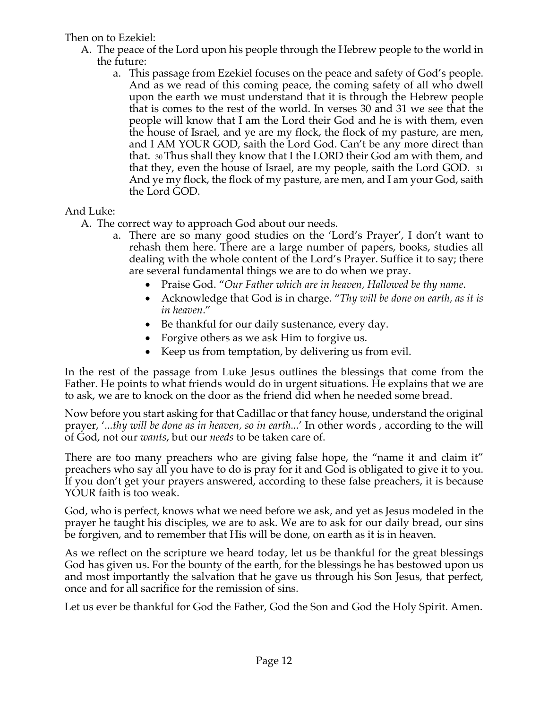## Then on to Ezekiel:

- A. The peace of the Lord upon his people through the Hebrew people to the world in the future:
	- a. This passage from Ezekiel focuses on the peace and safety of God's people. And as we read of this coming peace, the coming safety of all who dwell upon the earth we must understand that it is through the Hebrew people that is comes to the rest of the world. In verses 30 and 31 we see that the people will know that I am the Lord their God and he is with them, even the house of Israel, and ye are my flock, the flock of my pasture, are men, and I AM YOUR GOD, saith the Lord God. Can't be any more direct than that. 30 Thus shall they know that I the LORD their God am with them, and that they, even the house of Israel, are my people, saith the Lord GOD. 31 And ye my flock, the flock of my pasture, are men, and I am your God, saith the Lord GOD.

# And Luke:

- A. The correct way to approach God about our needs.
	- a. There are so many good studies on the 'Lord's Prayer', I don't want to rehash them here. There are a large number of papers, books, studies all dealing with the whole content of the Lord's Prayer. Suffice it to say; there are several fundamental things we are to do when we pray.
		- Praise God. "*Our Father which are in heaven, Hallowed be thy name*.
		- Acknowledge that God is in charge. "*Thy will be done on earth, as it is in heaven*."
		- Be thankful for our daily sustenance, every day.
		- Forgive others as we ask Him to forgive us.
		- Keep us from temptation, by delivering us from evil.

In the rest of the passage from Luke Jesus outlines the blessings that come from the Father. He points to what friends would do in urgent situations. He explains that we are to ask, we are to knock on the door as the friend did when he needed some bread.

Now before you start asking for that Cadillac or that fancy house, understand the original prayer, '*...thy will be done as in heaven, so in earth...*' In other words , according to the will of God, not our *wants*, but our *needs* to be taken care of.

There are too many preachers who are giving false hope, the "name it and claim it" preachers who say all you have to do is pray for it and God is obligated to give it to you. If you don't get your prayers answered, according to these false preachers, it is because YOUR faith is too weak.

God, who is perfect, knows what we need before we ask, and yet as Jesus modeled in the prayer he taught his disciples, we are to ask. We are to ask for our daily bread, our sins be forgiven, and to remember that His will be done, on earth as it is in heaven.

As we reflect on the scripture we heard today, let us be thankful for the great blessings God has given us. For the bounty of the earth, for the blessings he has bestowed upon us and most importantly the salvation that he gave us through his Son Jesus, that perfect, once and for all sacrifice for the remission of sins.

Let us ever be thankful for God the Father, God the Son and God the Holy Spirit. Amen.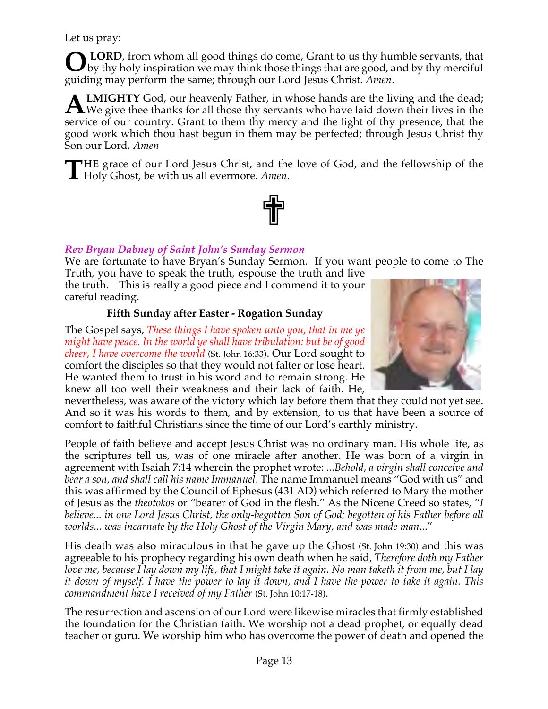Let us pray:

**LORD**, from whom all good things do come, Grant to us thy humble servants, that **O** LORD, from whom all good things do come, Grant to us thy humble servants, that by thy holy inspiration we may think those things that are good, and by thy merciful guiding may perform the same; through our Lord Jesus Christ. *Amen*.

**LMIGHTY** God, our heavenly Father, in whose hands are the living and the dead; **ALMIGHTY** God, our heavenly Father, in whose hands are the living and the dead;<br>We give thee thanks for all those thy servants who have laid down their lives in the service of our country. Grant to them thy mercy and the light of thy presence, that the good work which thou hast begun in them may be perfected; through Jesus Christ thy Son our Lord. *Amen*

**HE** grace of our Lord Jesus Christ, and the love of God, and the fellowship of the **THE** grace of our Lord Jesus Christ, and the Holy Ghost, be with us all evermore. Amen.



# *Rev Bryan Dabney of Saint John's Sunday Sermon*

We are fortunate to have Bryan's Sunday Sermon. If you want people to come to The Truth, you have to speak the truth, espouse the truth and live

the truth. This is really a good piece and I commend it to your careful reading.

# **Fifth Sunday after Easter - Rogation Sunday**

The Gospel says, *These things I have spoken unto you, that in me ye might have peace. In the world ye shall have tribulation: but be of good cheer, I have overcome the world* (St. John 16:33). Our Lord sought to comfort the disciples so that they would not falter or lose heart. He wanted them to trust in his word and to remain strong. He knew all too well their weakness and their lack of faith. He,



nevertheless, was aware of the victory which lay before them that they could not yet see. And so it was his words to them, and by extension, to us that have been a source of comfort to faithful Christians since the time of our Lord's earthly ministry.

People of faith believe and accept Jesus Christ was no ordinary man. His whole life, as the scriptures tell us, was of one miracle after another. He was born of a virgin in agreement with Isaiah 7:14 wherein the prophet wrote: ...*Behold, a virgin shall conceive and bear a son, and shall call his name Immanuel*. The name Immanuel means "God with us" and this was affirmed by the Council of Ephesus (431 AD) which referred to Mary the mother of Jesus as the *theotokos* or "bearer of God in the flesh." As the Nicene Creed so states, "*I believe... in one Lord Jesus Christ, the only-begotten Son of God; begotten of his Father before all worlds... was incarnate by the Holy Ghost of the Virgin Mary, and was made man*..."

His death was also miraculous in that he gave up the Ghost (St. John 19:30) and this was agreeable to his prophecy regarding his own death when he said, *Therefore doth my Father love me, because I lay down my life, that I might take it again. No man taketh it from me, but I lay it down of myself. I have the power to lay it down, and I have the power to take it again. This commandment have I received of my Father* (St. John 10:17-18).

The resurrection and ascension of our Lord were likewise miracles that firmly established the foundation for the Christian faith. We worship not a dead prophet, or equally dead teacher or guru. We worship him who has overcome the power of death and opened the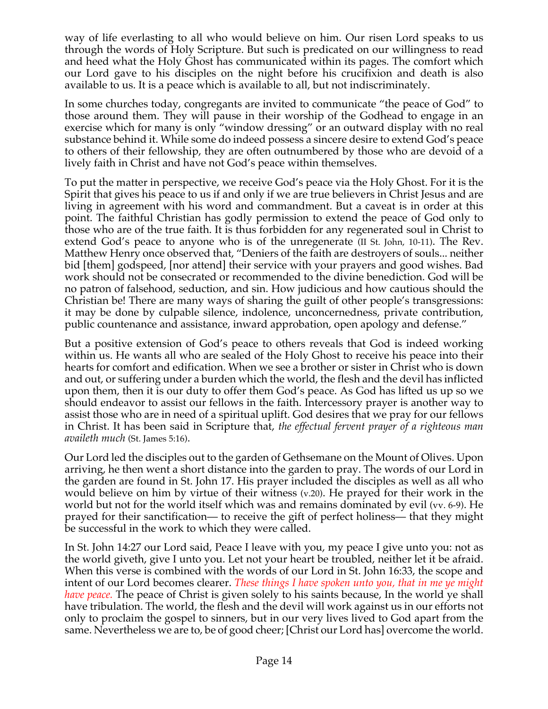way of life everlasting to all who would believe on him. Our risen Lord speaks to us through the words of Holy Scripture. But such is predicated on our willingness to read and heed what the Holy Ghost has communicated within its pages. The comfort which our Lord gave to his disciples on the night before his crucifixion and death is also available to us. It is a peace which is available to all, but not indiscriminately.

In some churches today, congregants are invited to communicate "the peace of God" to those around them. They will pause in their worship of the Godhead to engage in an exercise which for many is only "window dressing" or an outward display with no real substance behind it. While some do indeed possess a sincere desire to extend God's peace to others of their fellowship, they are often outnumbered by those who are devoid of a lively faith in Christ and have not God's peace within themselves.

To put the matter in perspective, we receive God's peace via the Holy Ghost. For it is the Spirit that gives his peace to us if and only if we are true believers in Christ Jesus and are living in agreement with his word and commandment. But a caveat is in order at this point. The faithful Christian has godly permission to extend the peace of God only to those who are of the true faith. It is thus forbidden for any regenerated soul in Christ to extend God's peace to anyone who is of the unregenerate (II St. John, 10-11). The Rev. Matthew Henry once observed that, "Deniers of the faith are destroyers of souls... neither bid [them] godspeed, [nor attend] their service with your prayers and good wishes. Bad work should not be consecrated or recommended to the divine benediction. God will be no patron of falsehood, seduction, and sin. How judicious and how cautious should the Christian be! There are many ways of sharing the guilt of other people's transgressions: it may be done by culpable silence, indolence, unconcernedness, private contribution, public countenance and assistance, inward approbation, open apology and defense."

But a positive extension of God's peace to others reveals that God is indeed working within us. He wants all who are sealed of the Holy Ghost to receive his peace into their hearts for comfort and edification. When we see a brother or sister in Christ who is down and out, or suffering under a burden which the world, the flesh and the devil has inflicted upon them, then it is our duty to offer them God's peace. As God has lifted us up so we should endeavor to assist our fellows in the faith. Intercessory prayer is another way to assist those who are in need of a spiritual uplift. God desires that we pray for our fellows in Christ. It has been said in Scripture that, *the effectual fervent prayer of a righteous man availeth much* (St. James 5:16).

Our Lord led the disciples out to the garden of Gethsemane on the Mount of Olives. Upon arriving, he then went a short distance into the garden to pray. The words of our Lord in the garden are found in St. John 17. His prayer included the disciples as well as all who would believe on him by virtue of their witness (v.20). He prayed for their work in the world but not for the world itself which was and remains dominated by evil (vv. 6-9). He prayed for their sanctification— to receive the gift of perfect holiness— that they might be successful in the work to which they were called.

In St. John 14:27 our Lord said, Peace I leave with you, my peace I give unto you: not as the world giveth, give I unto you. Let not your heart be troubled, neither let it be afraid. When this verse is combined with the words of our Lord in St. John 16:33, the scope and intent of our Lord becomes clearer. *These things I have spoken unto you, that in me ye might have peace.* The peace of Christ is given solely to his saints because, In the world ye shall have tribulation. The world, the flesh and the devil will work against us in our efforts not only to proclaim the gospel to sinners, but in our very lives lived to God apart from the same. Nevertheless we are to, be of good cheer; [Christ our Lord has] overcome the world.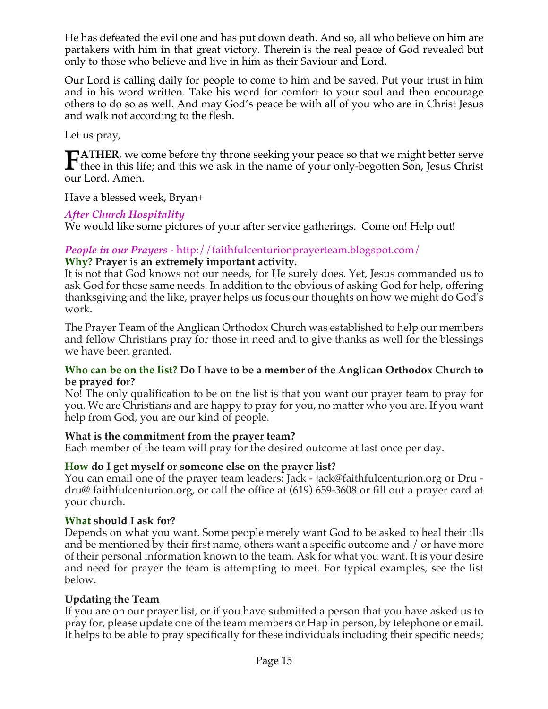He has defeated the evil one and has put down death. And so, all who believe on him are partakers with him in that great victory. Therein is the real peace of God revealed but only to those who believe and live in him as their Saviour and Lord.

Our Lord is calling daily for people to come to him and be saved. Put your trust in him and in his word written. Take his word for comfort to your soul and then encourage others to do so as well. And may God's peace be with all of you who are in Christ Jesus and walk not according to the flesh.

Let us pray,

**ATHER**, we come before thy throne seeking your peace so that we might better serve **TATHER**, we come before thy throne seeking your peace so that we might better serve thee in this life; and this we ask in the name of your only-begotten Son, Jesus Christ our Lord. Amen.

Have a blessed week, Bryan+

# *After Church Hospitality*

We would like some pictures of your after service gatherings. Come on! Help out!

#### *People in our Prayers* - http://faithfulcenturionprayerteam.blogspot.com/ **Why? Prayer is an extremely important activity.**

It is not that God knows not our needs, for He surely does. Yet, Jesus commanded us to ask God for those same needs. In addition to the obvious of asking God for help, offering thanksgiving and the like, prayer helps us focus our thoughts on how we might do God's work.

The Prayer Team of the Anglican Orthodox Church was established to help our members and fellow Christians pray for those in need and to give thanks as well for the blessings we have been granted.

#### **Who can be on the list? Do I have to be a member of the Anglican Orthodox Church to be prayed for?**

No! The only qualification to be on the list is that you want our prayer team to pray for you. We are Christians and are happy to pray for you, no matter who you are. If you want help from God, you are our kind of people.

## **What is the commitment from the prayer team?**

Each member of the team will pray for the desired outcome at last once per day.

## **How do I get myself or someone else on the prayer list?**

You can email one of the prayer team leaders: Jack - jack@faithfulcenturion.org or Dru dru@ faithfulcenturion.org, or call the office at (619) 659-3608 or fill out a prayer card at your church.

## **What should I ask for?**

Depends on what you want. Some people merely want God to be asked to heal their ills and be mentioned by their first name, others want a specific outcome and / or have more of their personal information known to the team. Ask for what you want. It is your desire and need for prayer the team is attempting to meet. For typical examples, see the list below.

## **Updating the Team**

If you are on our prayer list, or if you have submitted a person that you have asked us to pray for, please update one of the team members or Hap in person, by telephone or email. It helps to be able to pray specifically for these individuals including their specific needs;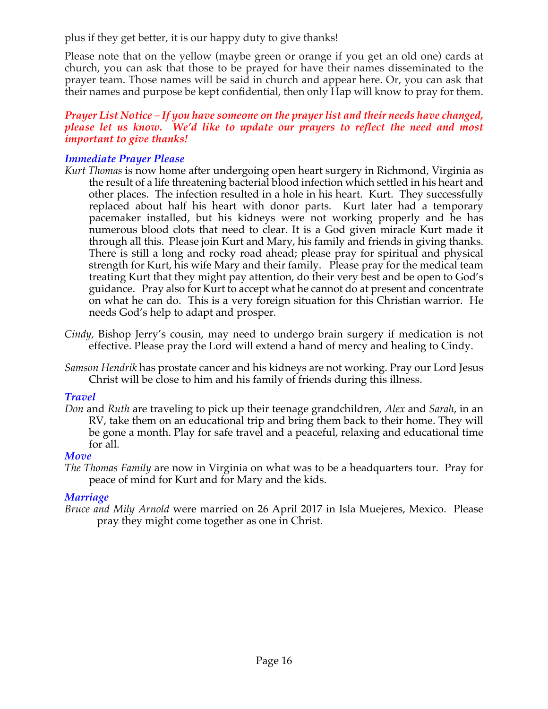plus if they get better, it is our happy duty to give thanks!

Please note that on the yellow (maybe green or orange if you get an old one) cards at church, you can ask that those to be prayed for have their names disseminated to the prayer team. Those names will be said in church and appear here. Or, you can ask that their names and purpose be kept confidential, then only Hap will know to pray for them.

#### *Prayer List Notice – If you have someone on the prayer list and their needs have changed, please let us know. We'd like to update our prayers to reflect the need and most important to give thanks!*

# *Immediate Prayer Please*

- *Kurt Thomas* is now home after undergoing open heart surgery in Richmond, Virginia as the result of a life threatening bacterial blood infection which settled in his heart and other places. The infection resulted in a hole in his heart. Kurt. They successfully replaced about half his heart with donor parts. Kurt later had a temporary pacemaker installed, but his kidneys were not working properly and he has numerous blood clots that need to clear. It is a God given miracle Kurt made it through all this. Please join Kurt and Mary, his family and friends in giving thanks. There is still a long and rocky road ahead; please pray for spiritual and physical strength for Kurt, his wife Mary and their family. Please pray for the medical team treating Kurt that they might pay attention, do their very best and be open to God's guidance. Pray also for Kurt to accept what he cannot do at present and concentrate on what he can do. This is a very foreign situation for this Christian warrior. He needs God's help to adapt and prosper.
- *Cindy,* Bishop Jerry's cousin, may need to undergo brain surgery if medication is not effective. Please pray the Lord will extend a hand of mercy and healing to Cindy.
- *Samson Hendrik* has prostate cancer and his kidneys are not working. Pray our Lord Jesus Christ will be close to him and his family of friends during this illness.

## *Travel*

*Don* and *Ruth* are traveling to pick up their teenage grandchildren, *Alex* and *Sarah*, in an RV, take them on an educational trip and bring them back to their home. They will be gone a month. Play for safe travel and a peaceful, relaxing and educational time for all.

## *Move*

*The Thomas Family* are now in Virginia on what was to be a headquarters tour. Pray for peace of mind for Kurt and for Mary and the kids.

# *Marriage*

*Bruce and Mily Arnold* were married on 26 April 2017 in Isla Muejeres, Mexico. Please pray they might come together as one in Christ.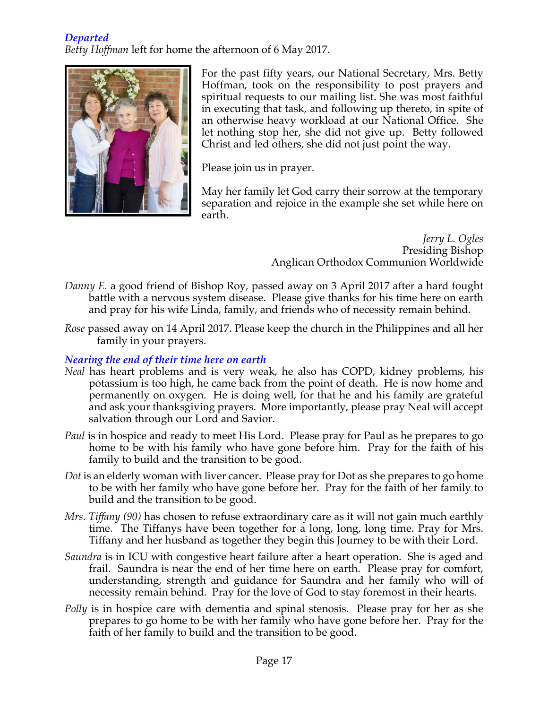## *Departed*

*Betty Hoffman* left for home the afternoon of 6 May 2017.



For the past fifty years, our National Secretary, Mrs. Betty Hoffman, took on the responsibility to post prayers and spiritual requests to our mailing list. She was most faithful in executing that task, and following up thereto, in spite of an otherwise heavy workload at our National Office. She let nothing stop her, she did not give up. Betty followed Christ and led others, she did not just point the way.

Please join us in prayer.

May her family let God carry their sorrow at the temporary separation and rejoice in the example she set while here on earth.

> *Jerry L. Ogles* Presiding Bishop Anglican Orthodox Communion Worldwide

- *Danny E.* a good friend of Bishop Roy, passed away on 3 April 2017 after a hard fought battle with a nervous system disease. Please give thanks for his time here on earth and pray for his wife Linda, family, and friends who of necessity remain behind.
- *Rose* passed away on 14 April 2017. Please keep the church in the Philippines and all her family in your prayers.

# *Nearing the end of their time here on earth*

- *Neal* has heart problems and is very weak, he also has COPD, kidney problems, his potassium is too high, he came back from the point of death. He is now home and permanently on oxygen. He is doing well, for that he and his family are grateful and ask your thanksgiving prayers. More importantly, please pray Neal will accept salvation through our Lord and Savior.
- *Paul* is in hospice and ready to meet His Lord. Please pray for Paul as he prepares to go home to be with his family who have gone before him. Pray for the faith of his family to build and the transition to be good.
- *Dot* is an elderly woman with liver cancer. Please pray for Dot as she prepares to go home to be with her family who have gone before her. Pray for the faith of her family to build and the transition to be good.
- *Mrs. Tiffany (90)* has chosen to refuse extraordinary care as it will not gain much earthly time. The Tiffanys have been together for a long, long, long time. Pray for Mrs. Tiffany and her husband as together they begin this Journey to be with their Lord.
- *Saundra* is in ICU with congestive heart failure after a heart operation. She is aged and frail. Saundra is near the end of her time here on earth. Please pray for comfort, understanding, strength and guidance for Saundra and her family who will of necessity remain behind. Pray for the love of God to stay foremost in their hearts.
- *Polly* is in hospice care with dementia and spinal stenosis. Please pray for her as she prepares to go home to be with her family who have gone before her. Pray for the faith of her family to build and the transition to be good.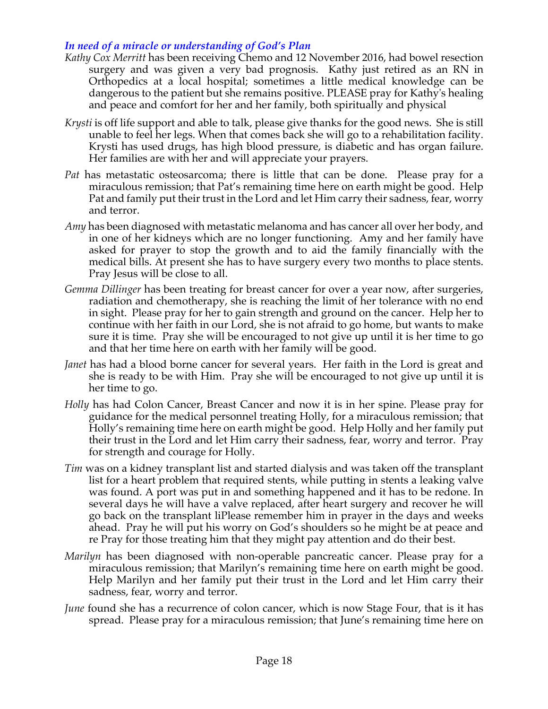#### *In need of a miracle or understanding of God's Plan*

- *Kathy Cox Merritt* has been receiving Chemo and 12 November 2016, had bowel resection surgery and was given a very bad prognosis. Kathy just retired as an RN in Orthopedics at a local hospital; sometimes a little medical knowledge can be dangerous to the patient but she remains positive. PLEASE pray for Kathy's healing and peace and comfort for her and her family, both spiritually and physical
- *Krysti* is off life support and able to talk, please give thanks for the good news. She is still unable to feel her legs. When that comes back she will go to a rehabilitation facility. Krysti has used drugs, has high blood pressure, is diabetic and has organ failure. Her families are with her and will appreciate your prayers.
- *Pat* has metastatic osteosarcoma; there is little that can be done. Please pray for a miraculous remission; that Pat's remaining time here on earth might be good. Help Pat and family put their trust in the Lord and let Him carry their sadness, fear, worry and terror.
- *Amy* has been diagnosed with metastatic melanoma and has cancer all over her body, and in one of her kidneys which are no longer functioning. Amy and her family have asked for prayer to stop the growth and to aid the family financially with the medical bills. At present she has to have surgery every two months to place stents. Pray Jesus will be close to all.
- *Gemma Dillinger* has been treating for breast cancer for over a year now, after surgeries, radiation and chemotherapy, she is reaching the limit of her tolerance with no end in sight. Please pray for her to gain strength and ground on the cancer. Help her to continue with her faith in our Lord, she is not afraid to go home, but wants to make sure it is time. Pray she will be encouraged to not give up until it is her time to go and that her time here on earth with her family will be good.
- *Janet* has had a blood borne cancer for several years. Her faith in the Lord is great and she is ready to be with Him. Pray she will be encouraged to not give up until it is her time to go.
- *Holly* has had Colon Cancer, Breast Cancer and now it is in her spine. Please pray for guidance for the medical personnel treating Holly, for a miraculous remission; that Holly's remaining time here on earth might be good. Help Holly and her family put their trust in the Lord and let Him carry their sadness, fear, worry and terror. Pray for strength and courage for Holly.
- *Tim* was on a kidney transplant list and started dialysis and was taken off the transplant list for a heart problem that required stents, while putting in stents a leaking valve was found. A port was put in and something happened and it has to be redone. In several days he will have a valve replaced, after heart surgery and recover he will go back on the transplant liPlease remember him in prayer in the days and weeks ahead. Pray he will put his worry on God's shoulders so he might be at peace and re Pray for those treating him that they might pay attention and do their best.
- *Marilyn* has been diagnosed with non-operable pancreatic cancer. Please pray for a miraculous remission; that Marilyn's remaining time here on earth might be good. Help Marilyn and her family put their trust in the Lord and let Him carry their sadness, fear, worry and terror.
- *June* found she has a recurrence of colon cancer, which is now Stage Four, that is it has spread. Please pray for a miraculous remission; that June's remaining time here on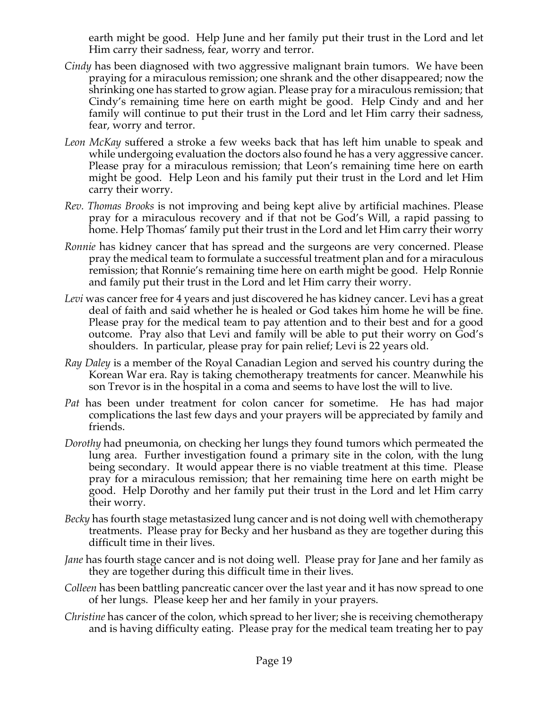earth might be good. Help June and her family put their trust in the Lord and let Him carry their sadness, fear, worry and terror.

- *Cindy* has been diagnosed with two aggressive malignant brain tumors. We have been praying for a miraculous remission; one shrank and the other disappeared; now the shrinking one has started to grow agian. Please pray for a miraculous remission; that Cindy's remaining time here on earth might be good. Help Cindy and and her family will continue to put their trust in the Lord and let Him carry their sadness, fear, worry and terror.
- *Leon McKay* suffered a stroke a few weeks back that has left him unable to speak and while undergoing evaluation the doctors also found he has a very aggressive cancer. Please pray for a miraculous remission; that Leon's remaining time here on earth might be good. Help Leon and his family put their trust in the Lord and let Him carry their worry.
- *Rev. Thomas Brooks* is not improving and being kept alive by artificial machines. Please pray for a miraculous recovery and if that not be God's Will, a rapid passing to home. Help Thomas' family put their trust in the Lord and let Him carry their worry
- *Ronnie* has kidney cancer that has spread and the surgeons are very concerned. Please pray the medical team to formulate a successful treatment plan and for a miraculous remission; that Ronnie's remaining time here on earth might be good. Help Ronnie and family put their trust in the Lord and let Him carry their worry.
- *Levi* was cancer free for 4 years and just discovered he has kidney cancer. Levi has a great deal of faith and said whether he is healed or God takes him home he will be fine. Please pray for the medical team to pay attention and to their best and for a good outcome. Pray also that Levi and family will be able to put their worry on God's shoulders. In particular, please pray for pain relief; Levi is 22 years old.
- *Ray Daley* is a member of the Royal Canadian Legion and served his country during the Korean War era. Ray is taking chemotherapy treatments for cancer. Meanwhile his son Trevor is in the hospital in a coma and seems to have lost the will to live.
- *Pat* has been under treatment for colon cancer for sometime. He has had major complications the last few days and your prayers will be appreciated by family and friends.
- *Dorothy* had pneumonia, on checking her lungs they found tumors which permeated the lung area. Further investigation found a primary site in the colon, with the lung being secondary. It would appear there is no viable treatment at this time. Please pray for a miraculous remission; that her remaining time here on earth might be good. Help Dorothy and her family put their trust in the Lord and let Him carry their worry.
- *Becky* has fourth stage metastasized lung cancer and is not doing well with chemotherapy treatments. Please pray for Becky and her husband as they are together during this difficult time in their lives.
- *Jane* has fourth stage cancer and is not doing well. Please pray for Jane and her family as they are together during this difficult time in their lives.
- *Colleen* has been battling pancreatic cancer over the last year and it has now spread to one of her lungs. Please keep her and her family in your prayers.
- *Christine* has cancer of the colon, which spread to her liver; she is receiving chemotherapy and is having difficulty eating. Please pray for the medical team treating her to pay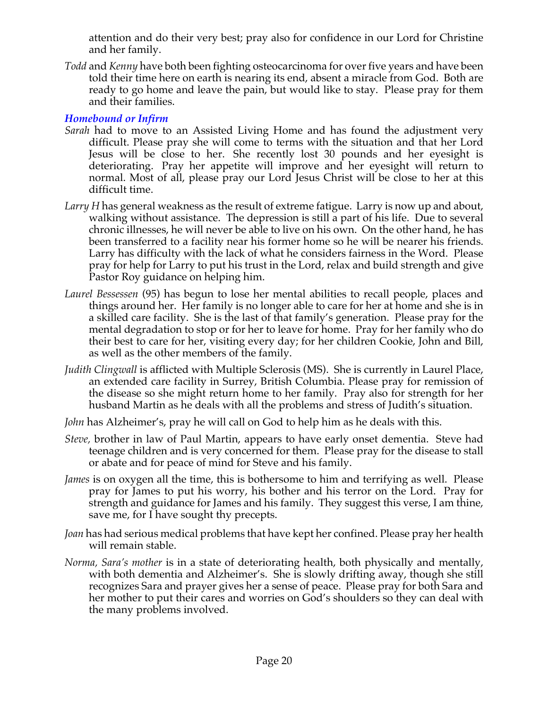attention and do their very best; pray also for confidence in our Lord for Christine and her family.

*Todd* and *Kenny* have both been fighting osteocarcinoma for over five years and have been told their time here on earth is nearing its end, absent a miracle from God. Both are ready to go home and leave the pain, but would like to stay. Please pray for them and their families.

#### *Homebound or Infirm*

- *Sarah* had to move to an Assisted Living Home and has found the adjustment very difficult. Please pray she will come to terms with the situation and that her Lord Jesus will be close to her. She recently lost 30 pounds and her eyesight is deteriorating. Pray her appetite will improve and her eyesight will return to normal. Most of all, please pray our Lord Jesus Christ will be close to her at this difficult time.
- *Larry H* has general weakness as the result of extreme fatigue. Larry is now up and about, walking without assistance. The depression is still a part of his life. Due to several chronic illnesses, he will never be able to live on his own. On the other hand, he has been transferred to a facility near his former home so he will be nearer his friends. Larry has difficulty with the lack of what he considers fairness in the Word. Please pray for help for Larry to put his trust in the Lord, relax and build strength and give Pastor Roy guidance on helping him.
- *Laurel Bessessen* (95) has begun to lose her mental abilities to recall people, places and things around her. Her family is no longer able to care for her at home and she is in a skilled care facility. She is the last of that family's generation. Please pray for the mental degradation to stop or for her to leave for home. Pray for her family who do their best to care for her, visiting every day; for her children Cookie, John and Bill, as well as the other members of the family.
- *Judith Clingwall* is afflicted with Multiple Sclerosis (MS). She is currently in Laurel Place, an extended care facility in Surrey, British Columbia. Please pray for remission of the disease so she might return home to her family. Pray also for strength for her husband Martin as he deals with all the problems and stress of Judith's situation.
- *John* has Alzheimer's, pray he will call on God to help him as he deals with this.
- *Steve,* brother in law of Paul Martin, appears to have early onset dementia. Steve had teenage children and is very concerned for them. Please pray for the disease to stall or abate and for peace of mind for Steve and his family.
- *James* is on oxygen all the time, this is bothersome to him and terrifying as well. Please pray for James to put his worry, his bother and his terror on the Lord. Pray for strength and guidance for James and his family. They suggest this verse, I am thine, save me, for I have sought thy precepts.
- *Joan* has had serious medical problems that have kept her confined. Please pray her health will remain stable.
- *Norma, Sara's mother* is in a state of deteriorating health, both physically and mentally, with both dementia and Alzheimer's. She is slowly drifting away, though she still recognizes Sara and prayer gives her a sense of peace. Please pray for both Sara and her mother to put their cares and worries on God's shoulders so they can deal with the many problems involved.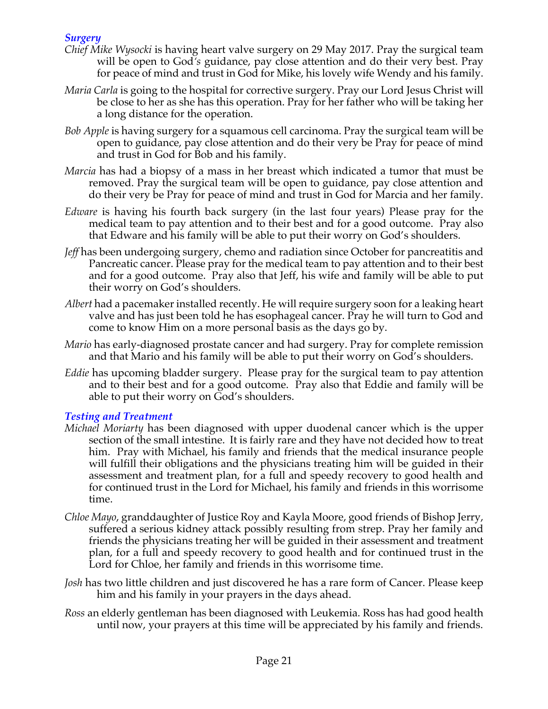## *Surgery*

- *Chief Mike Wysocki* is having heart valve surgery on 29 May 2017. Pray the surgical team will be open to God*'s* guidance, pay close attention and do their very best. Pray for peace of mind and trust in God for Mike, his lovely wife Wendy and his family.
- *Maria Carla* is going to the hospital for corrective surgery. Pray our Lord Jesus Christ will be close to her as she has this operation. Pray for her father who will be taking her a long distance for the operation.
- *Bob Apple* is having surgery for a squamous cell carcinoma. Pray the surgical team will be open to guidance, pay close attention and do their very be Pray for peace of mind and trust in God for Bob and his family.
- *Marcia* has had a biopsy of a mass in her breast which indicated a tumor that must be removed. Pray the surgical team will be open to guidance, pay close attention and do their very be Pray for peace of mind and trust in God for Marcia and her family.
- *Edware* is having his fourth back surgery (in the last four years) Please pray for the medical team to pay attention and to their best and for a good outcome. Pray also that Edware and his family will be able to put their worry on God's shoulders.
- *Jeff* has been undergoing surgery, chemo and radiation since October for pancreatitis and Pancreatic cancer. Please pray for the medical team to pay attention and to their best and for a good outcome. Pray also that Jeff, his wife and family will be able to put their worry on God's shoulders.
- *Albert* had a pacemaker installed recently. He will require surgery soon for a leaking heart valve and has just been told he has esophageal cancer. Pray he will turn to God and come to know Him on a more personal basis as the days go by.
- *Mario* has early-diagnosed prostate cancer and had surgery. Pray for complete remission and that Mario and his family will be able to put their worry on God's shoulders.
- *Eddie* has upcoming bladder surgery. Please pray for the surgical team to pay attention and to their best and for a good outcome. Pray also that Eddie and family will be able to put their worry on God's shoulders.

## *Testing and Treatment*

- *Michael Moriarty* has been diagnosed with upper duodenal cancer which is the upper section of the small intestine. It is fairly rare and they have not decided how to treat him. Pray with Michael, his family and friends that the medical insurance people will fulfill their obligations and the physicians treating him will be guided in their assessment and treatment plan, for a full and speedy recovery to good health and for continued trust in the Lord for Michael, his family and friends in this worrisome time.
- *Chloe Mayo*, granddaughter of Justice Roy and Kayla Moore, good friends of Bishop Jerry, suffered a serious kidney attack possibly resulting from strep. Pray her family and friends the physicians treating her will be guided in their assessment and treatment plan, for a full and speedy recovery to good health and for continued trust in the Lord for Chloe, her family and friends in this worrisome time.
- *Josh* has two little children and just discovered he has a rare form of Cancer. Please keep him and his family in your prayers in the days ahead.
- *Ross* an elderly gentleman has been diagnosed with Leukemia. Ross has had good health until now, your prayers at this time will be appreciated by his family and friends.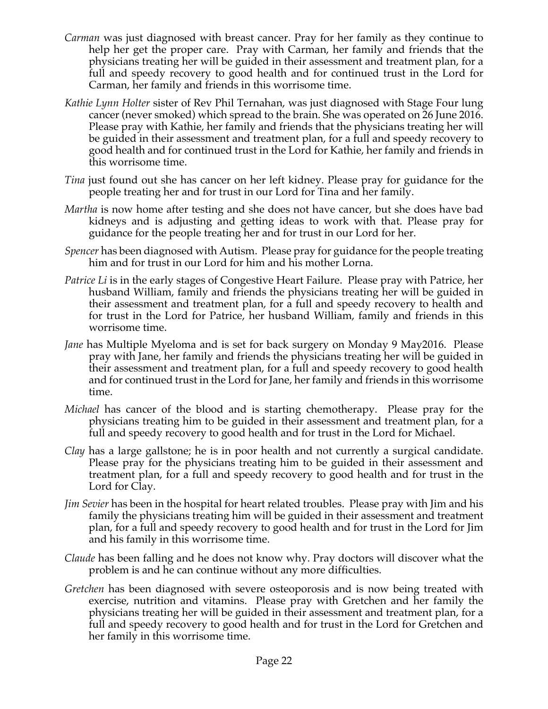- *Carman* was just diagnosed with breast cancer. Pray for her family as they continue to help her get the proper care. Pray with Carman, her family and friends that the physicians treating her will be guided in their assessment and treatment plan, for a full and speedy recovery to good health and for continued trust in the Lord for Carman, her family and friends in this worrisome time.
- *Kathie Lynn Holter* sister of Rev Phil Ternahan, was just diagnosed with Stage Four lung cancer (never smoked) which spread to the brain. She was operated on 26 June 2016. Please pray with Kathie, her family and friends that the physicians treating her will be guided in their assessment and treatment plan, for a full and speedy recovery to good health and for continued trust in the Lord for Kathie, her family and friends in this worrisome time.
- *Tina* just found out she has cancer on her left kidney. Please pray for guidance for the people treating her and for trust in our Lord for Tina and her family.
- *Martha* is now home after testing and she does not have cancer, but she does have bad kidneys and is adjusting and getting ideas to work with that. Please pray for guidance for the people treating her and for trust in our Lord for her.
- *Spencer* has been diagnosed with Autism. Please pray for guidance for the people treating him and for trust in our Lord for him and his mother Lorna.
- *Patrice Li* is in the early stages of Congestive Heart Failure. Please pray with Patrice, her husband William, family and friends the physicians treating her will be guided in their assessment and treatment plan, for a full and speedy recovery to health and for trust in the Lord for Patrice, her husband William, family and friends in this worrisome time.
- *Jane* has Multiple Myeloma and is set for back surgery on Monday 9 May2016. Please pray with Jane, her family and friends the physicians treating her will be guided in their assessment and treatment plan, for a full and speedy recovery to good health and for continued trust in the Lord for Jane, her family and friends in this worrisome time.
- *Michael* has cancer of the blood and is starting chemotherapy. Please pray for the physicians treating him to be guided in their assessment and treatment plan, for a full and speedy recovery to good health and for trust in the Lord for Michael.
- *Clay* has a large gallstone; he is in poor health and not currently a surgical candidate. Please pray for the physicians treating him to be guided in their assessment and treatment plan, for a full and speedy recovery to good health and for trust in the Lord for Clay.
- *Jim Sevier* has been in the hospital for heart related troubles. Please pray with Jim and his family the physicians treating him will be guided in their assessment and treatment plan, for a full and speedy recovery to good health and for trust in the Lord for Jim and his family in this worrisome time.
- *Claude* has been falling and he does not know why. Pray doctors will discover what the problem is and he can continue without any more difficulties.
- *Gretchen* has been diagnosed with severe osteoporosis and is now being treated with exercise, nutrition and vitamins. Please pray with Gretchen and her family the physicians treating her will be guided in their assessment and treatment plan, for a full and speedy recovery to good health and for trust in the Lord for Gretchen and her family in this worrisome time.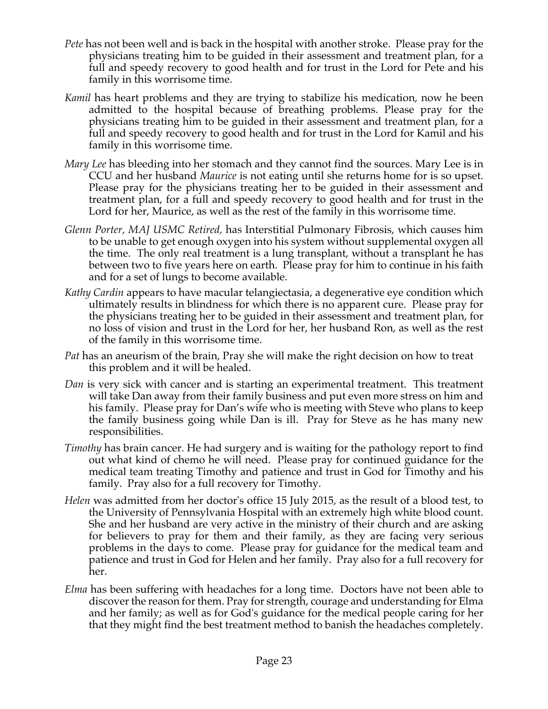- *Pete* has not been well and is back in the hospital with another stroke. Please pray for the physicians treating him to be guided in their assessment and treatment plan, for a full and speedy recovery to good health and for trust in the Lord for Pete and his family in this worrisome time.
- *Kamil* has heart problems and they are trying to stabilize his medication, now he been admitted to the hospital because of breathing problems. Please pray for the physicians treating him to be guided in their assessment and treatment plan, for a full and speedy recovery to good health and for trust in the Lord for Kamil and his family in this worrisome time.
- *Mary Lee* has bleeding into her stomach and they cannot find the sources. Mary Lee is in CCU and her husband *Maurice* is not eating until she returns home for is so upset. Please pray for the physicians treating her to be guided in their assessment and treatment plan, for a full and speedy recovery to good health and for trust in the Lord for her, Maurice, as well as the rest of the family in this worrisome time.
- *Glenn Porter, MAJ USMC Retired,* has Interstitial Pulmonary Fibrosis, which causes him to be unable to get enough oxygen into his system without supplemental oxygen all the time. The only real treatment is a lung transplant, without a transplant he has between two to five years here on earth. Please pray for him to continue in his faith and for a set of lungs to become available.
- *Kathy Cardin* appears to have macular telangiectasia, a degenerative eye condition which ultimately results in blindness for which there is no apparent cure. Please pray for the physicians treating her to be guided in their assessment and treatment plan, for no loss of vision and trust in the Lord for her, her husband Ron, as well as the rest of the family in this worrisome time.
- *Pat* has an aneurism of the brain, Pray she will make the right decision on how to treat this problem and it will be healed.
- *Dan* is very sick with cancer and is starting an experimental treatment. This treatment will take Dan away from their family business and put even more stress on him and his family. Please pray for Dan's wife who is meeting with Steve who plans to keep the family business going while Dan is ill. Pray for Steve as he has many new responsibilities.
- *Timothy* has brain cancer. He had surgery and is waiting for the pathology report to find out what kind of chemo he will need. Please pray for continued guidance for the medical team treating Timothy and patience and trust in God for Timothy and his family. Pray also for a full recovery for Timothy.
- *Helen* was admitted from her doctor's office 15 July 2015, as the result of a blood test, to the University of Pennsylvania Hospital with an extremely high white blood count. She and her husband are very active in the ministry of their church and are asking for believers to pray for them and their family, as they are facing very serious problems in the days to come. Please pray for guidance for the medical team and patience and trust in God for Helen and her family. Pray also for a full recovery for her.
- *Elma* has been suffering with headaches for a long time. Doctors have not been able to discoverthe reason forthem. Pray for strength, courage and understanding for Elma and her family; as well as for God's guidance for the medical people caring for her that they might find the best treatment method to banish the headaches completely.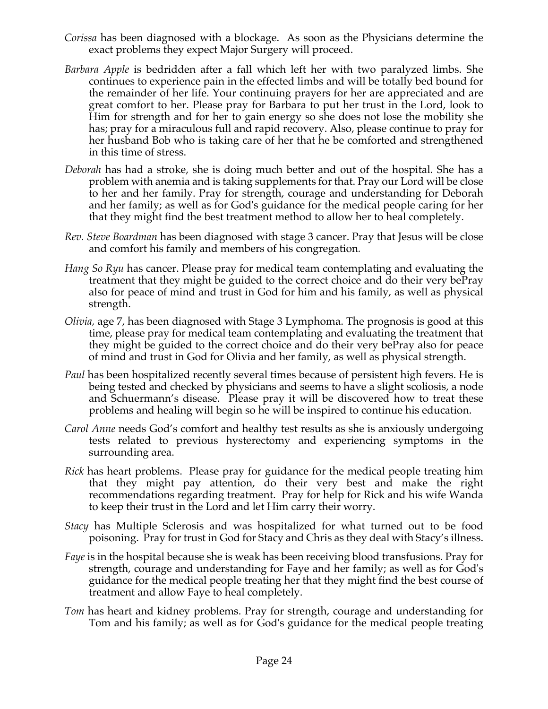- *Corissa* has been diagnosed with a blockage. As soon as the Physicians determine the exact problems they expect Major Surgery will proceed.
- *Barbara Apple* is bedridden after a fall which left her with two paralyzed limbs. She continues to experience pain in the effected limbs and will be totally bed bound for the remainder of her life. Your continuing prayers for her are appreciated and are great comfort to her. Please pray for Barbara to put her trust in the Lord, look to Him for strength and for her to gain energy so she does not lose the mobility she has; pray for a miraculous full and rapid recovery. Also, please continue to pray for her husband Bob who is taking care of her that he be comforted and strengthened in this time of stress.
- *Deborah* has had a stroke, she is doing much better and out of the hospital. She has a problem with anemia and is taking supplements for that. Pray our Lord will be close to her and her family. Pray for strength, courage and understanding for Deborah and her family; as well as for God's guidance for the medical people caring for her that they might find the best treatment method to allow her to heal completely.
- *Rev. Steve Boardman* has been diagnosed with stage 3 cancer. Pray that Jesus will be close and comfort his family and members of his congregation*.*
- *Hang So Ryu* has cancer. Please pray for medical team contemplating and evaluating the treatment that they might be guided to the correct choice and do their very bePray also for peace of mind and trust in God for him and his family, as well as physical strength.
- *Olivia,* age 7, has been diagnosed with Stage 3 Lymphoma. The prognosis is good at this time, please pray for medical team contemplating and evaluating the treatment that they might be guided to the correct choice and do their very bePray also for peace of mind and trust in God for Olivia and her family, as well as physical strength.
- *Paul* has been hospitalized recently several times because of persistent high fevers. He is being tested and checked by physicians and seems to have a slight scoliosis, a node and Schuermann's disease. Please pray it will be discovered how to treat these problems and healing will begin so he will be inspired to continue his education.
- *Carol Anne* needs God's comfort and healthy test results as she is anxiously undergoing tests related to previous hysterectomy and experiencing symptoms in the surrounding area.
- *Rick* has heart problems. Please pray for guidance for the medical people treating him that they might pay attention, do their very best and make the right recommendations regarding treatment. Pray for help for Rick and his wife Wanda to keep their trust in the Lord and let Him carry their worry.
- *Stacy* has Multiple Sclerosis and was hospitalized for what turned out to be food poisoning. Pray for trust in God for Stacy and Chris as they deal with Stacy's illness.
- *Faye* is in the hospital because she is weak has been receiving blood transfusions. Pray for strength, courage and understanding for Faye and her family; as well as for God's guidance for the medical people treating her that they might find the best course of treatment and allow Faye to heal completely.
- *Tom* has heart and kidney problems. Pray for strength, courage and understanding for Tom and his family; as well as for God's guidance for the medical people treating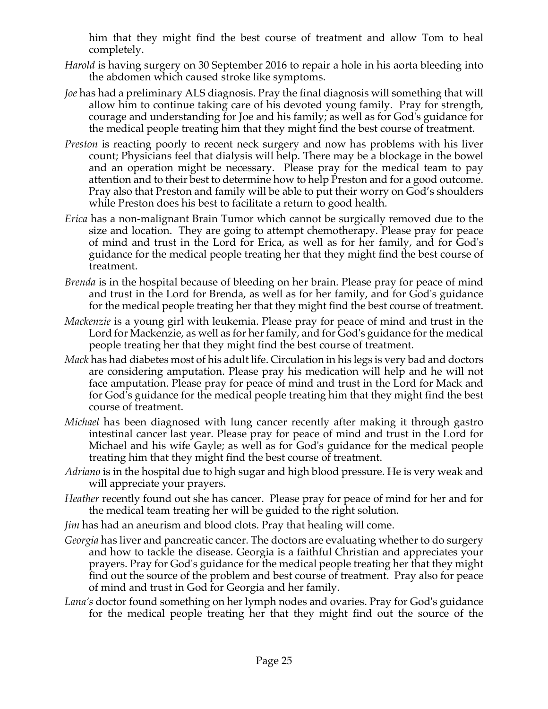him that they might find the best course of treatment and allow Tom to heal completely.

- *Harold* is having surgery on 30 September 2016 to repair a hole in his aorta bleeding into the abdomen which caused stroke like symptoms.
- *Joe* has had a preliminary ALS diagnosis. Pray the final diagnosis will something that will allow him to continue taking care of his devoted young family. Pray for strength, courage and understanding for Joe and his family; as well as for God's guidance for the medical people treating him that they might find the best course of treatment.
- *Preston* is reacting poorly to recent neck surgery and now has problems with his liver count; Physicians feel that dialysis will help. There may be a blockage in the bowel and an operation might be necessary. Please pray for the medical team to pay attention and to their best to determine how to help Preston and for a good outcome. Pray also that Preston and family will be able to put their worry on God's shoulders while Preston does his best to facilitate a return to good health.
- *Erica* has a non-malignant Brain Tumor which cannot be surgically removed due to the size and location. They are going to attempt chemotherapy. Please pray for peace of mind and trust in the Lord for Erica, as well as for her family, and for God's guidance for the medical people treating her that they might find the best course of treatment.
- *Brenda* is in the hospital because of bleeding on her brain. Please pray for peace of mind and trust in the Lord for Brenda, as well as for her family, and for God's guidance for the medical people treating her that they might find the best course of treatment.
- *Mackenzie* is a young girl with leukemia. Please pray for peace of mind and trust in the Lord for Mackenzie, as well as for her family, and for God's guidance for the medical people treating her that they might find the best course of treatment.
- *Mack* has had diabetes most of his adult life. Circulation in his legs is very bad and doctors are considering amputation. Please pray his medication will help and he will not face amputation. Please pray for peace of mind and trust in the Lord for Mack and for God's guidance for the medical people treating him that they might find the best course of treatment.
- *Michael* has been diagnosed with lung cancer recently after making it through gastro intestinal cancer last year. Please pray for peace of mind and trust in the Lord for Michael and his wife Gayle; as well as for God's guidance for the medical people treating him that they might find the best course of treatment.
- *Adriano* is in the hospital due to high sugar and high blood pressure. He is very weak and will appreciate your prayers.
- *Heather* recently found out she has cancer. Please pray for peace of mind for her and for the medical team treating her will be guided to the right solution.
- *Jim* has had an aneurism and blood clots. Pray that healing will come.
- *Georgia* has liver and pancreatic cancer. The doctors are evaluating whether to do surgery and how to tackle the disease. Georgia is a faithful Christian and appreciates your prayers. Pray for God's guidance for the medical people treating her that they might find out the source of the problem and best course of treatment. Pray also for peace of mind and trust in God for Georgia and her family.
- *Lana's* doctor found something on her lymph nodes and ovaries. Pray for God's guidance for the medical people treating her that they might find out the source of the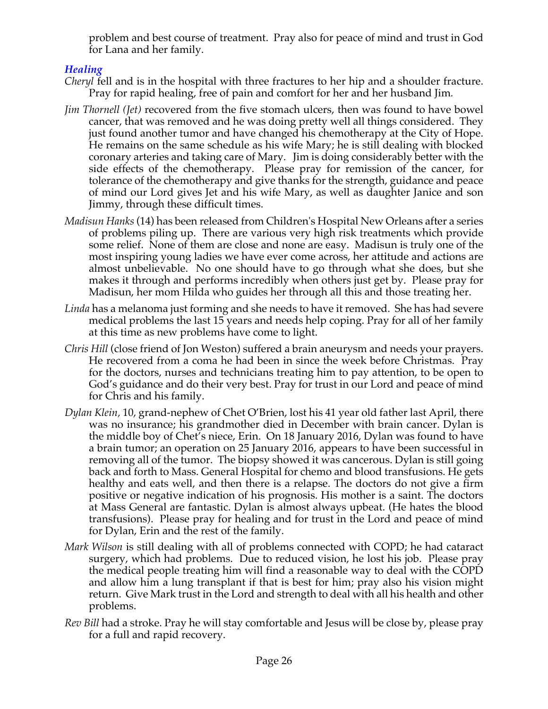problem and best course of treatment. Pray also for peace of mind and trust in God for Lana and her family.

# *Healing*

- *Cheryl* fell and is in the hospital with three fractures to her hip and a shoulder fracture. Pray for rapid healing, free of pain and comfort for her and her husband Jim*.*
- *Jim Thornell (Jet)* recovered from the five stomach ulcers, then was found to have bowel cancer, that was removed and he was doing pretty well all things considered. They just found another tumor and have changed his chemotherapy at the City of Hope. He remains on the same schedule as his wife Mary; he is still dealing with blocked coronary arteries and taking care of Mary. Jim is doing considerably better with the side effects of the chemotherapy. Please pray for remission of the cancer, for tolerance of the chemotherapy and give thanks for the strength, guidance and peace of mind our Lord gives Jet and his wife Mary, as well as daughter Janice and son Jimmy, through these difficult times.
- *Madisun Hanks* (14) has been released from Children's Hospital New Orleans after a series of problems piling up. There are various very high risk treatments which provide some relief. None of them are close and none are easy. Madisun is truly one of the most inspiring young ladies we have ever come across, her attitude and actions are almost unbelievable. No one should have to go through what she does, but she makes it through and performs incredibly when others just get by. Please pray for Madisun, her mom Hilda who guides her through all this and those treating her.
- *Linda* has a melanoma just forming and she needs to have it removed. She has had severe medical problems the last 15 years and needs help coping. Pray for all of her family at this time as new problems have come to light.
- *Chris Hill* (close friend of Jon Weston) suffered a brain aneurysm and needs your prayers. He recovered from a coma he had been in since the week before Christmas. Pray for the doctors, nurses and technicians treating him to pay attention, to be open to God's guidance and do their very best. Pray for trust in our Lord and peace of mind for Chris and his family.
- *Dylan Klein,* 10, grand-nephew of Chet O'Brien, lost his 41 year old father last April, there was no insurance; his grandmother died in December with brain cancer. Dylan is the middle boy of Chet's niece, Erin. On 18 January 2016, Dylan was found to have a brain tumor; an operation on 25 January 2016, appears to have been successful in removing all of the tumor. The biopsy showed it was cancerous. Dylan is still going back and forth to Mass. General Hospital for chemo and blood transfusions. He gets healthy and eats well, and then there is a relapse. The doctors do not give a firm positive or negative indication of his prognosis. His mother is a saint. The doctors at Mass General are fantastic. Dylan is almost always upbeat. (He hates the blood transfusions). Please pray for healing and for trust in the Lord and peace of mind for Dylan, Erin and the rest of the family.
- *Mark Wilson* is still dealing with all of problems connected with COPD; he had cataract surgery, which had problems. Due to reduced vision, he lost his job. Please pray the medical people treating him will find a reasonable way to deal with the COPD and allow him a lung transplant if that is best for him; pray also his vision might return. Give Mark trust in the Lord and strength to deal with all his health and other problems.
- *Rev Bill* had a stroke. Pray he will stay comfortable and Jesus will be close by, please pray for a full and rapid recovery.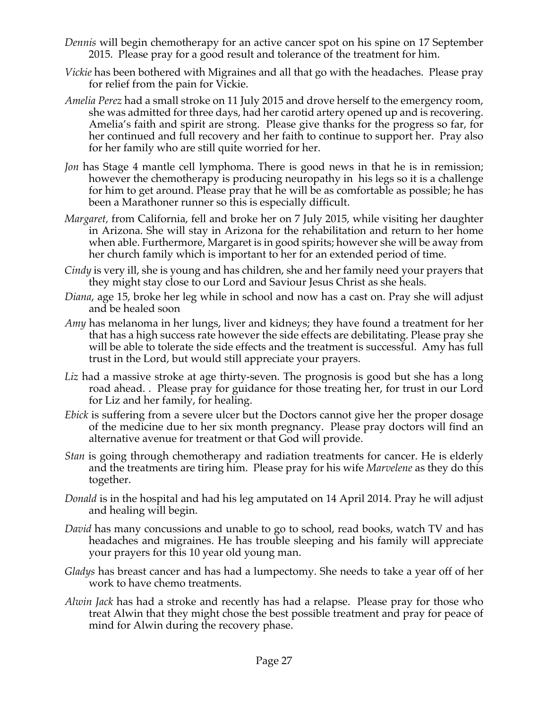- *Dennis* will begin chemotherapy for an active cancer spot on his spine on 17 September 2015. Please pray for a good result and tolerance of the treatment for him.
- *Vickie* has been bothered with Migraines and all that go with the headaches. Please pray for relief from the pain for Vickie.
- *Amelia Perez* had a small stroke on 11 July 2015 and drove herself to the emergency room, she was admitted for three days, had her carotid artery opened up and is recovering. Amelia's faith and spirit are strong. Please give thanks for the progress so far, for her continued and full recovery and her faith to continue to support her. Pray also for her family who are still quite worried for her.
- *Jon* has Stage 4 mantle cell lymphoma. There is good news in that he is in remission; however the chemotherapy is producing neuropathy in his legs so it is a challenge for him to get around. Please pray that he will be as comfortable as possible; he has been a Marathoner runner so this is especially difficult.
- *Margaret,* from California, fell and broke her on 7 July 2015, while visiting her daughter in Arizona. She will stay in Arizona for the rehabilitation and return to her home when able. Furthermore, Margaret is in good spirits; however she will be away from her church family which is important to her for an extended period of time.
- *Cindy* is very ill, she is young and has children, she and her family need your prayers that they might stay close to our Lord and Saviour Jesus Christ as she heals.
- *Diana*, age 15, broke her leg while in school and now has a cast on. Pray she will adjust and be healed soon
- *Amy* has melanoma in her lungs, liver and kidneys; they have found a treatment for her that has a high success rate however the side effects are debilitating. Please pray she will be able to tolerate the side effects and the treatment is successful. Amy has full trust in the Lord, but would still appreciate your prayers.
- Liz had a massive stroke at age thirty-seven. The prognosis is good but she has a long road ahead. . Please pray for guidance for those treating her, for trust in our Lord for Liz and her family, for healing.
- *Ebick* is suffering from a severe ulcer but the Doctors cannot give her the proper dosage of the medicine due to her six month pregnancy. Please pray doctors will find an alternative avenue for treatment or that God will provide.
- *Stan* is going through chemotherapy and radiation treatments for cancer. He is elderly and the treatments are tiring him. Please pray for his wife *Marvelene* as they do this together.
- *Donald* is in the hospital and had his leg amputated on 14 April 2014. Pray he will adjust and healing will begin.
- *David* has many concussions and unable to go to school, read books, watch TV and has headaches and migraines. He has trouble sleeping and his family will appreciate your prayers for this 10 year old young man.
- *Gladys* has breast cancer and has had a lumpectomy. She needs to take a year off of her work to have chemo treatments.
- *Alwin Jack* has had a stroke and recently has had a relapse. Please pray for those who treat Alwin that they might chose the best possible treatment and pray for peace of mind for Alwin during the recovery phase.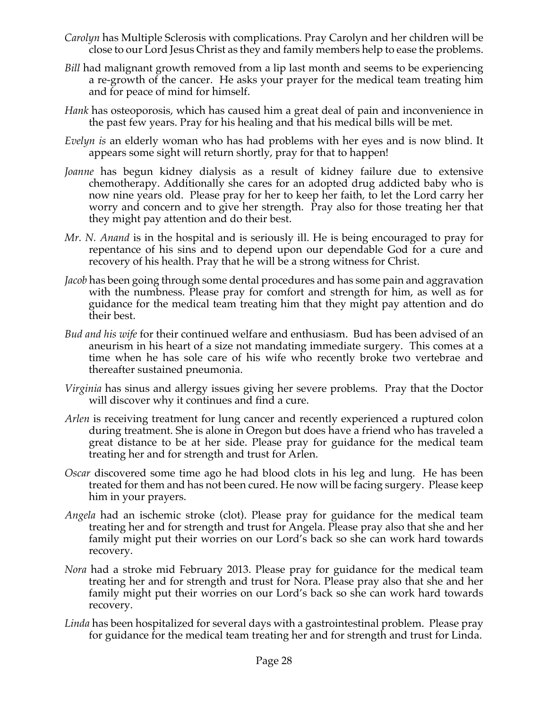- *Carolyn* has Multiple Sclerosis with complications. Pray Carolyn and her children will be close to our Lord Jesus Christ as they and family members help to ease the problems.
- *Bill* had malignant growth removed from a lip last month and seems to be experiencing a re-growth of the cancer. He asks your prayer for the medical team treating him and for peace of mind for himself.
- *Hank* has osteoporosis, which has caused him a great deal of pain and inconvenience in the past few years. Pray for his healing and that his medical bills will be met.
- *Evelyn is* an elderly woman who has had problems with her eyes and is now blind. It appears some sight will return shortly, pray for that to happen!
- *Joanne* has begun kidney dialysis as a result of kidney failure due to extensive chemotherapy. Additionally she cares for an adopted drug addicted baby who is now nine years old. Please pray for her to keep her faith, to let the Lord carry her worry and concern and to give her strength. Pray also for those treating her that they might pay attention and do their best.
- *Mr. N. Anand* is in the hospital and is seriously ill. He is being encouraged to pray for repentance of his sins and to depend upon our dependable God for a cure and recovery of his health. Pray that he will be a strong witness for Christ.
- *Jacob* has been going through some dental procedures and has some pain and aggravation with the numbness. Please pray for comfort and strength for him, as well as for guidance for the medical team treating him that they might pay attention and do their best.
- *Bud and his wife* for their continued welfare and enthusiasm. Bud has been advised of an aneurism in his heart of a size not mandating immediate surgery. This comes at a time when he has sole care of his wife who recently broke two vertebrae and thereafter sustained pneumonia.
- *Virginia* has sinus and allergy issues giving her severe problems. Pray that the Doctor will discover why it continues and find a cure.
- *Arlen* is receiving treatment for lung cancer and recently experienced a ruptured colon during treatment. She is alone in Oregon but does have a friend who has traveled a great distance to be at her side. Please pray for guidance for the medical team treating her and for strength and trust for Arlen.
- *Oscar* discovered some time ago he had blood clots in his leg and lung. He has been treated for them and has not been cured. He now will be facing surgery. Please keep him in your prayers.
- *Angela* had an ischemic stroke (clot). Please pray for guidance for the medical team treating her and for strength and trust for Angela. Please pray also that she and her family might put their worries on our Lord's back so she can work hard towards recovery.
- *Nora* had a stroke mid February 2013. Please pray for guidance for the medical team treating her and for strength and trust for Nora. Please pray also that she and her family might put their worries on our Lord's back so she can work hard towards recovery.
- *Linda* has been hospitalized for several days with a gastrointestinal problem. Please pray for guidance for the medical team treating her and for strength and trust for Linda.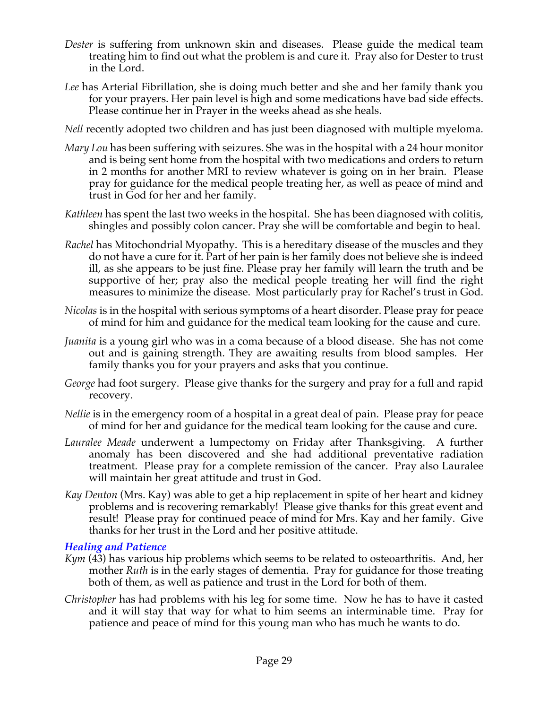- *Dester* is suffering from unknown skin and diseases. Please guide the medical team treating him to find out what the problem is and cure it. Pray also for Dester to trust in the Lord.
- *Lee* has Arterial Fibrillation, she is doing much better and she and her family thank you for your prayers. Her pain level is high and some medications have bad side effects. Please continue her in Prayer in the weeks ahead as she heals.
- *Nell* recently adopted two children and has just been diagnosed with multiple myeloma.
- *Mary Lou* has been suffering with seizures. She was in the hospital with a 24 hour monitor and is being sent home from the hospital with two medications and orders to return in 2 months for another MRI to review whatever is going on in her brain. Please pray for guidance for the medical people treating her, as well as peace of mind and trust in God for her and her family.
- *Kathleen* has spent the last two weeks in the hospital. She has been diagnosed with colitis, shingles and possibly colon cancer. Pray she will be comfortable and begin to heal.
- *Rachel* has Mitochondrial Myopathy. This is a hereditary disease of the muscles and they do not have a cure for it. Part of her pain is her family does not believe she is indeed ill, as she appears to be just fine. Please pray her family will learn the truth and be supportive of her; pray also the medical people treating her will find the right measures to minimize the disease. Most particularly pray for Rachel's trust in God.
- *Nicolas* is in the hospital with serious symptoms of a heart disorder. Please pray for peace of mind for him and guidance for the medical team looking for the cause and cure.
- *Juanita* is a young girl who was in a coma because of a blood disease. She has not come out and is gaining strength. They are awaiting results from blood samples. Her family thanks you for your prayers and asks that you continue.
- *George* had foot surgery. Please give thanks for the surgery and pray for a full and rapid recovery.
- *Nellie* is in the emergency room of a hospital in a great deal of pain. Please pray for peace of mind for her and guidance for the medical team looking for the cause and cure.
- *Lauralee Meade* underwent a lumpectomy on Friday after Thanksgiving. A further anomaly has been discovered and she had additional preventative radiation treatment. Please pray for a complete remission of the cancer. Pray also Lauralee will maintain her great attitude and trust in God.
- *Kay Denton* (Mrs. Kay) was able to get a hip replacement in spite of her heart and kidney problems and is recovering remarkably! Please give thanks for this great event and result! Please pray for continued peace of mind for Mrs. Kay and her family. Give thanks for her trust in the Lord and her positive attitude.

#### *Healing and Patience*

- *Kym* (43) has various hip problems which seems to be related to osteoarthritis. And, her mother *Ruth* is in the early stages of dementia. Pray for guidance for those treating both of them, as well as patience and trust in the Lord for both of them.
- *Christopher* has had problems with his leg for some time. Now he has to have it casted and it will stay that way for what to him seems an interminable time. Pray for patience and peace of mind for this young man who has much he wants to do.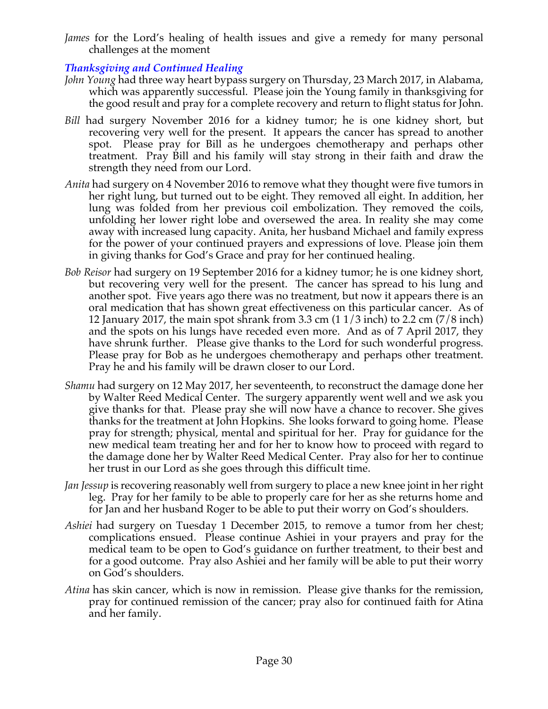*James* for the Lord's healing of health issues and give a remedy for many personal challenges at the moment

# *Thanksgiving and Continued Healing*

- *John Young* had three way heart bypass surgery on Thursday, 23 March 2017, in Alabama, which was apparently successful. Please join the Young family in thanksgiving for the good result and pray for a complete recovery and return to flight status for John.
- *Bill* had surgery November 2016 for a kidney tumor; he is one kidney short, but recovering very well for the present. It appears the cancer has spread to another spot. Please pray for Bill as he undergoes chemotherapy and perhaps other treatment. Pray Bill and his family will stay strong in their faith and draw the strength they need from our Lord.
- *Anita* had surgery on 4 November 2016 to remove what they thought were five tumors in her right lung, but turned out to be eight. They removed all eight. In addition, her lung was folded from her previous coil embolization. They removed the coils, unfolding her lower right lobe and oversewed the area. In reality she may come away with increased lung capacity. Anita, her husband Michael and family express for the power of your continued prayers and expressions of love. Please join them in giving thanks for God's Grace and pray for her continued healing.
- *Bob Reisor* had surgery on 19 September 2016 for a kidney tumor; he is one kidney short, but recovering very well for the present. The cancer has spread to his lung and another spot. Five years ago there was no treatment, but now it appears there is an oral medication that has shown great effectiveness on this particular cancer. As of 12 January 2017, the main spot shrank from 3.3 cm (1 1/3 inch) to 2.2 cm (7/8 inch) and the spots on his lungs have receded even more. And as of 7 April 2017, they have shrunk further. Please give thanks to the Lord for such wonderful progress. Please pray for Bob as he undergoes chemotherapy and perhaps other treatment. Pray he and his family will be drawn closer to our Lord.
- *Shamu* had surgery on 12 May 2017, her seventeenth, to reconstruct the damage done her by Walter Reed Medical Center. The surgery apparently went well and we ask you give thanks for that. Please pray she will now have a chance to recover. She gives thanks for the treatment at John Hopkins. She looks forward to going home. Please pray for strength; physical, mental and spiritual for her. Pray for guidance for the new medical team treating her and for her to know how to proceed with regard to the damage done her by Walter Reed Medical Center. Pray also for her to continue her trust in our Lord as she goes through this difficult time.
- *Jan Jessup* is recovering reasonably well from surgery to place a new knee joint in her right leg. Pray for her family to be able to properly care for her as she returns home and for Jan and her husband Roger to be able to put their worry on God's shoulders.
- *Ashiei* had surgery on Tuesday 1 December 2015, to remove a tumor from her chest; complications ensued. Please continue Ashiei in your prayers and pray for the medical team to be open to God's guidance on further treatment, to their best and for a good outcome. Pray also Ashiei and her family will be able to put their worry on God's shoulders.
- *Atina* has skin cancer, which is now in remission. Please give thanks for the remission, pray for continued remission of the cancer; pray also for continued faith for Atina and her family.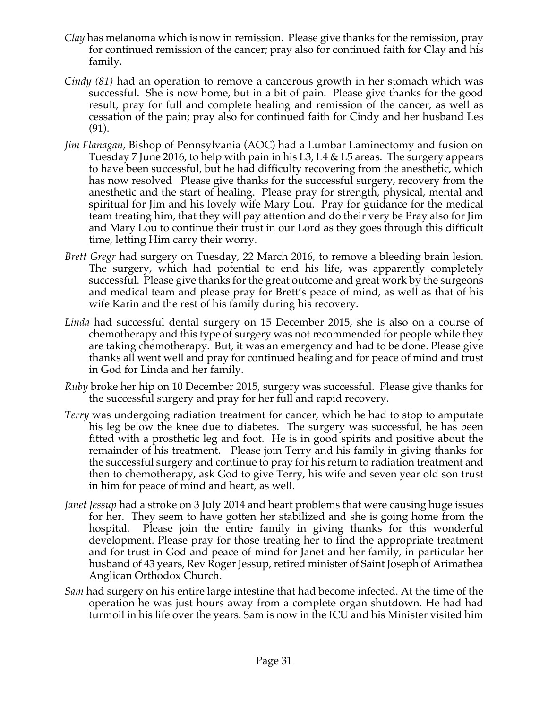- *Clay* has melanoma which is now in remission. Please give thanks for the remission, pray for continued remission of the cancer; pray also for continued faith for Clay and his family.
- *Cindy (81)* had an operation to remove a cancerous growth in her stomach which was successful. She is now home, but in a bit of pain. Please give thanks for the good result, pray for full and complete healing and remission of the cancer, as well as cessation of the pain; pray also for continued faith for Cindy and her husband Les (91).
- *Jim Flanagan,* Bishop of Pennsylvania (AOC) had a Lumbar Laminectomy and fusion on Tuesday 7 June 2016, to help with pain in his L3, L4 & L5 areas. The surgery appears to have been successful, but he had difficulty recovering from the anesthetic, which has now resolved Please give thanks for the successful surgery, recovery from the anesthetic and the start of healing. Please pray for strength, physical, mental and spiritual for Jim and his lovely wife Mary Lou. Pray for guidance for the medical team treating him, that they will pay attention and do their very be Pray also for Jim and Mary Lou to continue their trust in our Lord as they goes through this difficult time, letting Him carry their worry.
- *Brett Gregr* had surgery on Tuesday, 22 March 2016, to remove a bleeding brain lesion. The surgery, which had potential to end his life, was apparently completely successful. Please give thanks for the great outcome and great work by the surgeons and medical team and please pray for Brett's peace of mind, as well as that of his wife Karin and the rest of his family during his recovery.
- *Linda* had successful dental surgery on 15 December 2015, she is also on a course of chemotherapy and this type of surgery was not recommended for people while they are taking chemotherapy. But, it was an emergency and had to be done. Please give thanks all went well and pray for continued healing and for peace of mind and trust in God for Linda and her family.
- *Ruby* broke her hip on 10 December 2015, surgery was successful. Please give thanks for the successful surgery and pray for her full and rapid recovery.
- *Terry* was undergoing radiation treatment for cancer, which he had to stop to amputate his leg below the knee due to diabetes. The surgery was successful, he has been fitted with a prosthetic leg and foot. He is in good spirits and positive about the remainder of his treatment. Please join Terry and his family in giving thanks for the successful surgery and continue to pray for his return to radiation treatment and then to chemotherapy, ask God to give Terry, his wife and seven year old son trust in him for peace of mind and heart, as well.
- *Janet Jessup* had a stroke on 3 July 2014 and heart problems that were causing huge issues for her. They seem to have gotten her stabilized and she is going home from the hospital. Please join the entire family in giving thanks for this wonderful development. Please pray for those treating her to find the appropriate treatment and for trust in God and peace of mind for Janet and her family, in particular her husband of 43 years, Rev Roger Jessup, retired minister of Saint Joseph of Arimathea Anglican Orthodox Church.
- *Sam* had surgery on his entire large intestine that had become infected. At the time of the operation he was just hours away from a complete organ shutdown. He had had turmoil in his life over the years. Sam is now in the ICU and his Minister visited him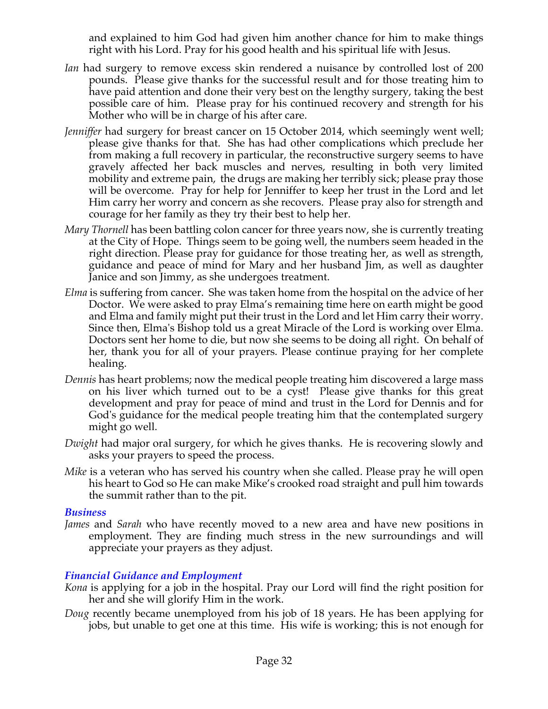and explained to him God had given him another chance for him to make things right with his Lord. Pray for his good health and his spiritual life with Jesus.

- *Ian* had surgery to remove excess skin rendered a nuisance by controlled lost of 200 pounds. Please give thanks for the successful result and for those treating him to have paid attention and done their very best on the lengthy surgery, taking the best possible care of him. Please pray for his continued recovery and strength for his Mother who will be in charge of his after care.
- *Jenniffer* had surgery for breast cancer on 15 October 2014, which seemingly went well; please give thanks for that. She has had other complications which preclude her from making a full recovery in particular, the reconstructive surgery seems to have gravely affected her back muscles and nerves, resulting in both very limited mobility and extreme pain, the drugs are making her terribly sick; please pray those will be overcome. Pray for help for Jenniffer to keep her trust in the Lord and let Him carry her worry and concern as she recovers. Please pray also for strength and courage for her family as they try their best to help her.
- *Mary Thornell* has been battling colon cancer for three years now, she is currently treating at the City of Hope. Things seem to be going well, the numbers seem headed in the right direction. Please pray for guidance for those treating her, as well as strength, guidance and peace of mind for Mary and her husband Jim, as well as daughter Janice and son Jimmy, as she undergoes treatment.
- *Elma* is suffering from cancer. She was taken home from the hospital on the advice of her Doctor. We were asked to pray Elma's remaining time here on earth might be good and Elma and family might put their trust in the Lord and let Him carry their worry. Since then, Elma's Bishop told us a great Miracle of the Lord is working over Elma. Doctors sent her home to die, but now she seems to be doing all right. On behalf of her, thank you for all of your prayers. Please continue praying for her complete healing.
- *Dennis* has heart problems; now the medical people treating him discovered a large mass on his liver which turned out to be a cyst! Please give thanks for this great development and pray for peace of mind and trust in the Lord for Dennis and for God's guidance for the medical people treating him that the contemplated surgery might go well.
- *Dwight* had major oral surgery, for which he gives thanks. He is recovering slowly and asks your prayers to speed the process.
- *Mike* is a veteran who has served his country when she called. Please pray he will open his heart to God so He can make Mike's crooked road straight and pull him towards the summit rather than to the pit.

#### *Business*

*James* and *Sarah* who have recently moved to a new area and have new positions in employment. They are finding much stress in the new surroundings and will appreciate your prayers as they adjust.

## *Financial Guidance and Employment*

- *Kona* is applying for a job in the hospital. Pray our Lord will find the right position for her and she will glorify Him in the work.
- *Doug* recently became unemployed from his job of 18 years. He has been applying for jobs, but unable to get one at this time. His wife is working; this is not enough for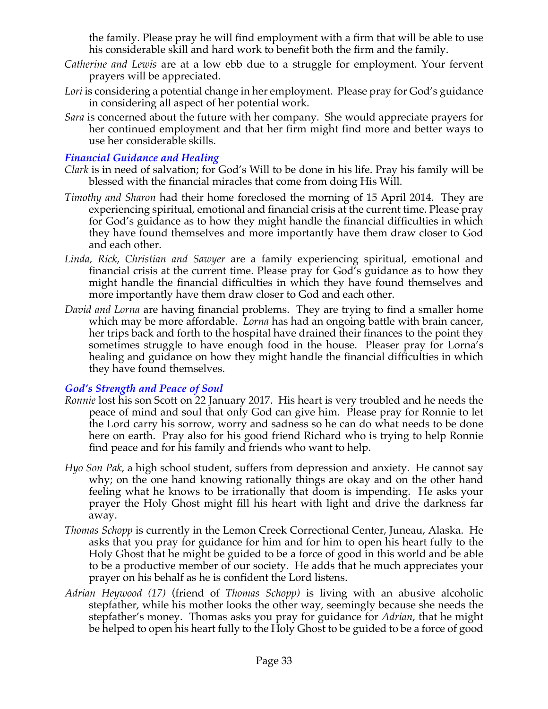the family. Please pray he will find employment with a firm that will be able to use his considerable skill and hard work to benefit both the firm and the family.

- *Catherine and Lewis* are at a low ebb due to a struggle for employment. Your fervent prayers will be appreciated.
- *Lori* is considering a potential change in her employment. Please pray for God's guidance in considering all aspect of her potential work.
- *Sara* is concerned about the future with her company. She would appreciate prayers for her continued employment and that her firm might find more and better ways to use her considerable skills.

#### *Financial Guidance and Healing*

- *Clark* is in need of salvation; for God's Will to be done in his life. Pray his family will be blessed with the financial miracles that come from doing His Will.
- *Timothy and Sharon* had their home foreclosed the morning of 15 April 2014. They are experiencing spiritual, emotional and financial crisis at the current time. Please pray for God's guidance as to how they might handle the financial difficulties in which they have found themselves and more importantly have them draw closer to God and each other.
- *Linda, Rick, Christian and Sawyer* are a family experiencing spiritual, emotional and financial crisis at the current time. Please pray for God's guidance as to how they might handle the financial difficulties in which they have found themselves and more importantly have them draw closer to God and each other.
- *David and Lorna* are having financial problems. They are trying to find a smaller home which may be more affordable. *Lorna* has had an ongoing battle with brain cancer, her trips back and forth to the hospital have drained their finances to the point they sometimes struggle to have enough food in the house. Pleaser pray for Lorna's healing and guidance on how they might handle the financial difficulties in which they have found themselves.

#### *God's Strength and Peace of Soul*

- *Ronnie* lost his son Scott on 22 January 2017. His heart is very troubled and he needs the peace of mind and soul that only God can give him. Please pray for Ronnie to let the Lord carry his sorrow, worry and sadness so he can do what needs to be done here on earth. Pray also for his good friend Richard who is trying to help Ronnie find peace and for his family and friends who want to help.
- *Hyo Son Pak*, a high school student, suffers from depression and anxiety. He cannot say why; on the one hand knowing rationally things are okay and on the other hand feeling what he knows to be irrationally that doom is impending. He asks your prayer the Holy Ghost might fill his heart with light and drive the darkness far away.
- *Thomas Schopp* is currently in the Lemon Creek Correctional Center, Juneau, Alaska. He asks that you pray for guidance for him and for him to open his heart fully to the Holy Ghost that he might be guided to be a force of good in this world and be able to be a productive member of our society. He adds that he much appreciates your prayer on his behalf as he is confident the Lord listens.
- *Adrian Heywood (17)* (friend of *Thomas Schopp)* is living with an abusive alcoholic stepfather, while his mother looks the other way, seemingly because she needs the stepfather's money. Thomas asks you pray for guidance for *Adrian*, that he might be helped to open his heart fully to the Holy Ghost to be guided to be a force of good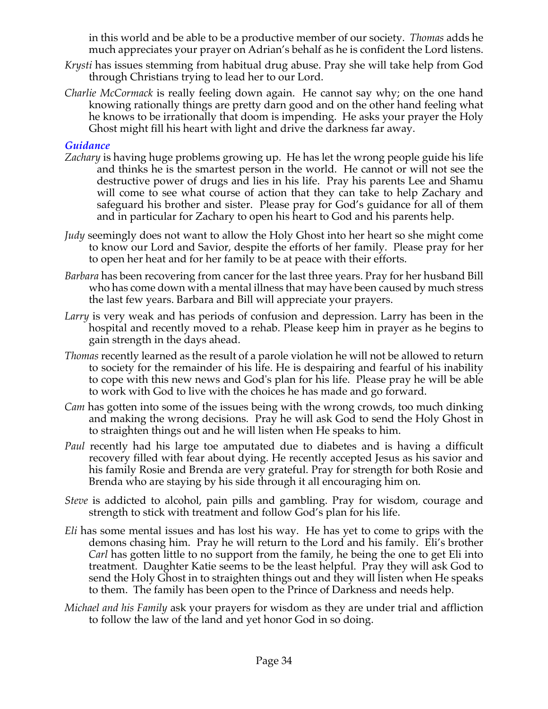in this world and be able to be a productive member of our society. *Thomas* adds he much appreciates your prayer on Adrian's behalf as he is confident the Lord listens.

- *Krysti* has issues stemming from habitual drug abuse. Pray she will take help from God through Christians trying to lead her to our Lord.
- *Charlie McCormack* is really feeling down again. He cannot say why; on the one hand knowing rationally things are pretty darn good and on the other hand feeling what he knows to be irrationally that doom is impending. He asks your prayer the Holy Ghost might fill his heart with light and drive the darkness far away.

#### *Guidance*

- *Zachary* is having huge problems growing up. He has let the wrong people guide his life and thinks he is the smartest person in the world. He cannot or will not see the destructive power of drugs and lies in his life. Pray his parents Lee and Shamu will come to see what course of action that they can take to help Zachary and safeguard his brother and sister. Please pray for God's guidance for all of them and in particular for Zachary to open his heart to God and his parents help.
- *Judy* seemingly does not want to allow the Holy Ghost into her heart so she might come to know our Lord and Savior, despite the efforts of her family. Please pray for her to open her heat and for her family to be at peace with their efforts.
- *Barbara* has been recovering from cancer for the last three years. Pray for her husband Bill who has come down with a mental illness that may have been caused by much stress the last few years. Barbara and Bill will appreciate your prayers.
- *Larry* is very weak and has periods of confusion and depression. Larry has been in the hospital and recently moved to a rehab. Please keep him in prayer as he begins to gain strength in the days ahead.
- *Thomas* recently learned as the result of a parole violation he will not be allowed to return to society for the remainder of his life. He is despairing and fearful of his inability to cope with this new news and God's plan for his life. Please pray he will be able to work with God to live with the choices he has made and go forward.
- *Cam* has gotten into some of the issues being with the wrong crowds, too much dinking and making the wrong decisions. Pray he will ask God to send the Holy Ghost in to straighten things out and he will listen when He speaks to him.
- *Paul* recently had his large toe amputated due to diabetes and is having a difficult recovery filled with fear about dying. He recently accepted Jesus as his savior and his family Rosie and Brenda are very grateful. Pray for strength for both Rosie and Brenda who are staying by his side through it all encouraging him on.
- *Steve* is addicted to alcohol, pain pills and gambling. Pray for wisdom, courage and strength to stick with treatment and follow God's plan for his life.
- *Eli* has some mental issues and has lost his way. He has yet to come to grips with the demons chasing him. Pray he will return to the Lord and his family. Eli's brother *Carl* has gotten little to no support from the family, he being the one to get Eli into treatment. Daughter Katie seems to be the least helpful. Pray they will ask God to send the Holy Ghost in to straighten things out and they will listen when He speaks to them. The family has been open to the Prince of Darkness and needs help.
- *Michael and his Family* ask your prayers for wisdom as they are under trial and affliction to follow the law of the land and yet honor God in so doing.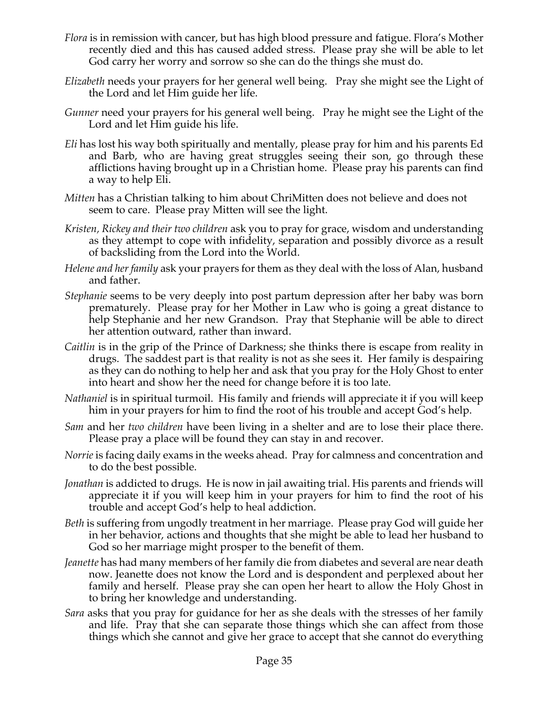- *Flora* is in remission with cancer, but has high blood pressure and fatigue. Flora's Mother recently died and this has caused added stress. Please pray she will be able to let God carry her worry and sorrow so she can do the things she must do.
- *Elizabeth* needs your prayers for her general well being. Pray she might see the Light of the Lord and let Him guide her life.
- *Gunner* need your prayers for his general well being. Pray he might see the Light of the Lord and let Him guide his life.
- *Eli* has lost his way both spiritually and mentally, please pray for him and his parents Ed and Barb, who are having great struggles seeing their son, go through these afflictions having brought up in a Christian home. Please pray his parents can find a way to help Eli.
- *Mitten* has a Christian talking to him about ChriMitten does not believe and does not seem to care. Please pray Mitten will see the light.
- *Kristen, Rickey and their two children* ask you to pray for grace, wisdom and understanding as they attempt to cope with infidelity, separation and possibly divorce as a result of backsliding from the Lord into the World.
- *Helene and her family* ask your prayers for them as they deal with the loss of Alan, husband and father.
- *Stephanie* seems to be very deeply into post partum depression after her baby was born prematurely. Please pray for her Mother in Law who is going a great distance to help Stephanie and her new Grandson. Pray that Stephanie will be able to direct her attention outward, rather than inward.
- *Caitlin* is in the grip of the Prince of Darkness; she thinks there is escape from reality in drugs. The saddest part is that reality is not as she sees it. Her family is despairing as they can do nothing to help her and ask that you pray for the Holy Ghost to enter into heart and show her the need for change before it is too late.
- *Nathaniel* is in spiritual turmoil. His family and friends will appreciate it if you will keep him in your prayers for him to find the root of his trouble and accept God's help.
- *Sam* and her *two children* have been living in a shelter and are to lose their place there. Please pray a place will be found they can stay in and recover.
- *Norrie* is facing daily exams in the weeks ahead. Pray for calmness and concentration and to do the best possible.
- *Jonathan* is addicted to drugs. He is now in jail awaiting trial. His parents and friends will appreciate it if you will keep him in your prayers for him to find the root of his trouble and accept God's help to heal addiction.
- *Beth* is suffering from ungodly treatment in her marriage. Please pray God will guide her in her behavior, actions and thoughts that she might be able to lead her husband to God so her marriage might prosper to the benefit of them.
- *Jeanette* has had many members of her family die from diabetes and several are near death now. Jeanette does not know the Lord and is despondent and perplexed about her family and herself. Please pray she can open her heart to allow the Holy Ghost in to bring her knowledge and understanding.
- *Sara* asks that you pray for guidance for her as she deals with the stresses of her family and life. Pray that she can separate those things which she can affect from those things which she cannot and give her grace to accept that she cannot do everything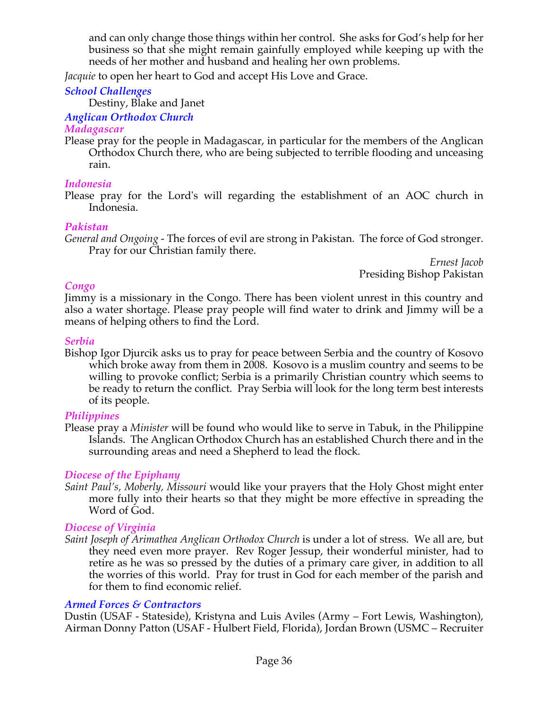and can only change those things within her control. She asks for God's help for her business so that she might remain gainfully employed while keeping up with the needs of her mother and husband and healing her own problems.

*Jacquie* to open her heart to God and accept His Love and Grace.

#### *School Challenges*

Destiny, Blake and Janet

#### *Anglican Orthodox Church*

#### *Madagascar*

Please pray for the people in Madagascar, in particular for the members of the Anglican Orthodox Church there, who are being subjected to terrible flooding and unceasing rain.

#### *Indonesia*

Please pray for the Lord's will regarding the establishment of an AOC church in Indonesia.

#### *Pakistan*

*General and Ongoing -* The forces of evil are strong in Pakistan. The force of God stronger. Pray for our Christian family there.

*Ernest Jacob* Presiding Bishop Pakistan

#### *Congo*

Jimmy is a missionary in the Congo. There has been violent unrest in this country and also a water shortage. Please pray people will find water to drink and Jimmy will be a means of helping others to find the Lord.

#### *Serbia*

Bishop Igor Djurcik asks us to pray for peace between Serbia and the country of Kosovo which broke away from them in 2008. Kosovo is a muslim country and seems to be willing to provoke conflict; Serbia is a primarily Christian country which seems to be ready to return the conflict. Pray Serbia will look for the long term best interests of its people.

## *Philippines*

Please pray a *Minister* will be found who would like to serve in Tabuk, in the Philippine Islands. The Anglican Orthodox Church has an established Church there and in the surrounding areas and need a Shepherd to lead the flock*.*

## *Diocese of the Epiphany*

*Saint Paul's, Moberly, Missouri* would like your prayers that the Holy Ghost might enter more fully into their hearts so that they might be more effective in spreading the Word of God.

## *Diocese of Virginia*

*Saint Joseph of Arimathea Anglican Orthodox Church* is under a lot of stress. We all are, but they need even more prayer. Rev Roger Jessup, their wonderful minister, had to retire as he was so pressed by the duties of a primary care giver, in addition to all the worries of this world. Pray for trust in God for each member of the parish and for them to find economic relief.

#### *Armed Forces & Contractors*

Dustin (USAF - Stateside), Kristyna and Luis Aviles (Army – Fort Lewis, Washington), Airman Donny Patton (USAF - Hulbert Field, Florida), Jordan Brown (USMC – Recruiter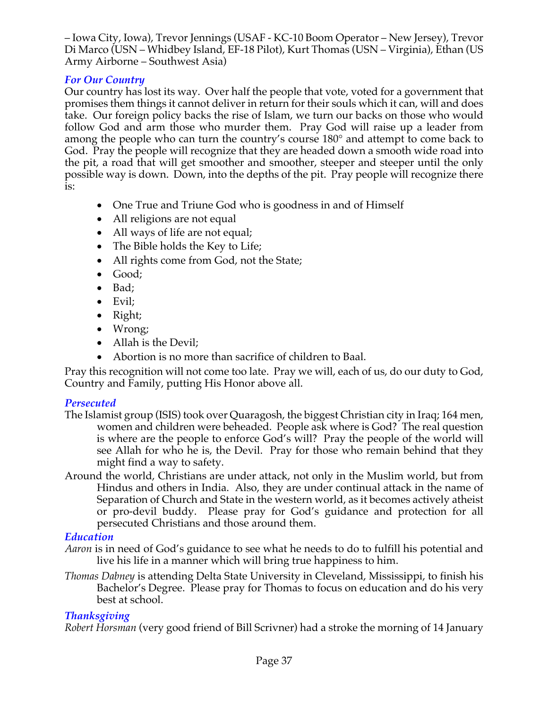– Iowa City, Iowa), Trevor Jennings (USAF - KC-10 Boom Operator – New Jersey), Trevor Di Marco (USN – Whidbey Island, EF-18 Pilot), Kurt Thomas (USN – Virginia), Ethan (US Army Airborne – Southwest Asia)

# *For Our Country*

Our country has lost its way. Over half the people that vote, voted for a government that promises them things it cannot deliver in return for their souls which it can, will and does take. Our foreign policy backs the rise of Islam, we turn our backs on those who would follow God and arm those who murder them. Pray God will raise up a leader from among the people who can turn the country's course 180° and attempt to come back to God. Pray the people will recognize that they are headed down a smooth wide road into the pit, a road that will get smoother and smoother, steeper and steeper until the only possible way is down. Down, into the depths of the pit. Pray people will recognize there is:

- One True and Triune God who is goodness in and of Himself
- All religions are not equal
- All ways of life are not equal;
- The Bible holds the Key to Life;
- All rights come from God, not the State;
- Good;
- Bad;
- Evil;
- Right;
- Wrong;
- Allah is the Devil:
- Abortion is no more than sacrifice of children to Baal.

Pray this recognition will not come too late. Pray we will, each of us, do our duty to God, Country and Family, putting His Honor above all.

## *Persecuted*

- The Islamist group (ISIS) took over Quaragosh, the biggest Christian city in Iraq; 164 men, women and children were beheaded. People ask where is God? The real question is where are the people to enforce God's will? Pray the people of the world will see Allah for who he is, the Devil. Pray for those who remain behind that they might find a way to safety.
- Around the world, Christians are under attack, not only in the Muslim world, but from Hindus and others in India. Also, they are under continual attack in the name of Separation of Church and State in the western world, as it becomes actively atheist or pro-devil buddy. Please pray for God's guidance and protection for all persecuted Christians and those around them.

# *Education*

- *Aaron* is in need of God's guidance to see what he needs to do to fulfill his potential and live his life in a manner which will bring true happiness to him.
- *Thomas Dabney* is attending Delta State University in Cleveland, Mississippi, to finish his Bachelor's Degree. Please pray for Thomas to focus on education and do his very best at school.

# *Thanksgiving*

*Robert Horsman* (very good friend of Bill Scrivner) had a stroke the morning of 14 January